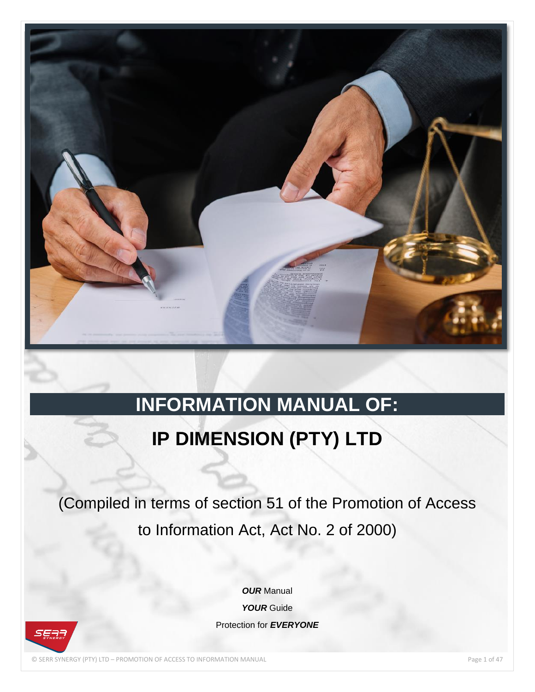

# **INFORMATION MANUAL OF:**

# **IP DIMENSION (PTY) LTD**

(Compiled in terms of section 51 of the Promotion of Access to Information Act, Act No. 2 of 2000)

> *OUR* Manual *YOUR* Guide Protection for *EVERYONE*

© SERR SYNERGY (PTY) LTD – PROMOTION OF ACCESS TO INFORMATION MANUAL Page 1 of 47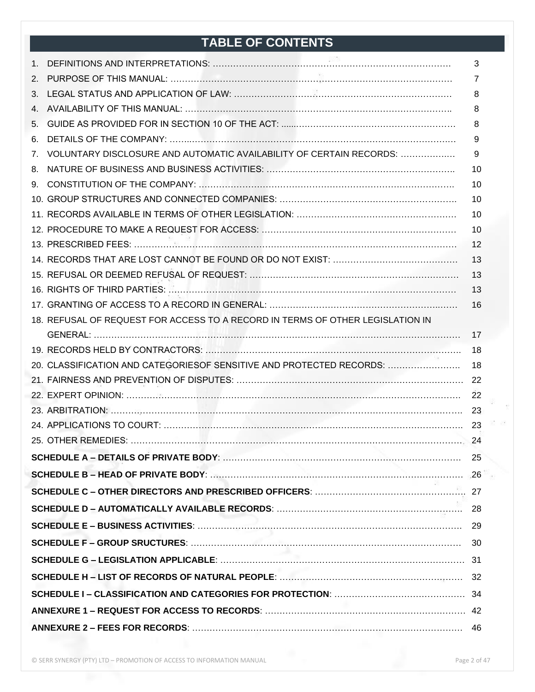## **TABLE OF CONTENTS**

|                                                                                | 3  |
|--------------------------------------------------------------------------------|----|
|                                                                                | 7  |
|                                                                                | 8  |
|                                                                                | 8  |
|                                                                                | 8  |
|                                                                                | 9  |
| 7. VOLUNTARY DISCLOSURE AND AUTOMATIC AVAILABILITY OF CERTAIN RECORDS:         | -9 |
|                                                                                | 10 |
|                                                                                | 10 |
|                                                                                | 10 |
|                                                                                | 10 |
|                                                                                | 10 |
|                                                                                | 12 |
|                                                                                | 13 |
|                                                                                | 13 |
|                                                                                | 13 |
|                                                                                | 16 |
| 18. REFUSAL OF REQUEST FOR ACCESS TO A RECORD IN TERMS OF OTHER LEGISLATION IN |    |
|                                                                                | 17 |
|                                                                                | 18 |
|                                                                                |    |
|                                                                                |    |
|                                                                                |    |
|                                                                                |    |
|                                                                                |    |
|                                                                                |    |
|                                                                                | 25 |
|                                                                                |    |
|                                                                                |    |
|                                                                                |    |
|                                                                                |    |
|                                                                                |    |
|                                                                                |    |
|                                                                                |    |
|                                                                                |    |
|                                                                                |    |
|                                                                                |    |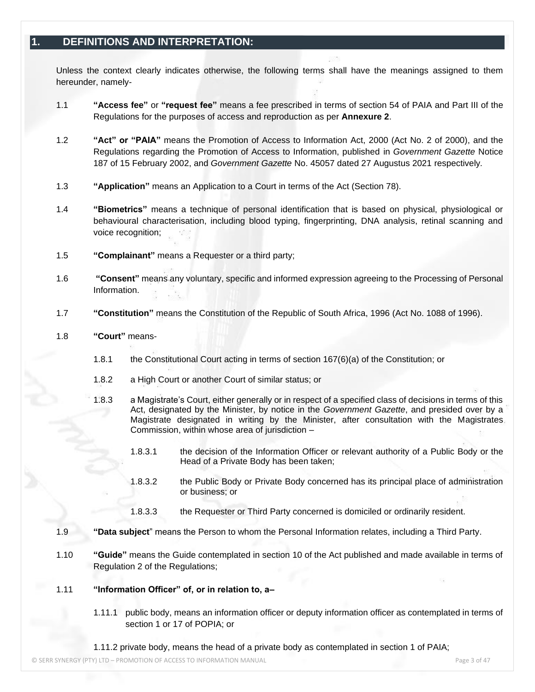## **1. DEFINITIONS AND INTERPRETATION:**

Unless the context clearly indicates otherwise, the following terms shall have the meanings assigned to them hereunder, namely-

- 1.1 **"Access fee"** or **"request fee"** means a fee prescribed in terms of section 54 of PAIA and Part III of the Regulations for the purposes of access and reproduction as per **Annexure 2**.
- 1.2 **"Act" or "PAIA"** means the Promotion of Access to Information Act, 2000 (Act No. 2 of 2000), and the Regulations regarding the Promotion of Access to Information, published in *Government Gazette* Notice 187 of 15 February 2002, and *Government Gazette* No. 45057 dated 27 Augustus 2021 respectively*.*
- 1.3 **"Application"** means an Application to a Court in terms of the Act (Section 78).
- 1.4 **"Biometrics"** means a technique of personal identification that is based on physical, physiological or behavioural characterisation, including blood typing, fingerprinting, DNA analysis, retinal scanning and voice recognition;
- 1.5 **"Complainant"** means a Requester or a third party;
- 1.6 **"Consent"** means any voluntary, specific and informed expression agreeing to the Processing of Personal Information.
- 1.7 **"Constitution"** means the Constitution of the Republic of South Africa, 1996 (Act No. 1088 of 1996).
- 1.8 **"Court"** means-
	- 1.8.1 the Constitutional Court acting in terms of section 167(6)(a) of the Constitution; or
	- 1.8.2 a High Court or another Court of similar status; or
	- 1.8.3 a Magistrate's Court, either generally or in respect of a specified class of decisions in terms of this Act, designated by the Minister, by notice in the *Government Gazette*, and presided over by a Magistrate designated in writing by the Minister, after consultation with the Magistrates Commission, within whose area of jurisdiction –
		- 1.8.3.1 the decision of the Information Officer or relevant authority of a Public Body or the Head of a Private Body has been taken;
		- 1.8.3.2 the Public Body or Private Body concerned has its principal place of administration or business; or
		- 1.8.3.3 the Requester or Third Party concerned is domiciled or ordinarily resident.
- 1.9 **"Data subject**" means the Person to whom the Personal Information relates, including a Third Party.
- 1.10 **"Guide"** means the Guide contemplated in section 10 of the Act published and made available in terms of Regulation 2 of the Regulations;

#### 1.11 **"Information Officer" of, or in relation to, a–**

1.11.1 public body, means an information officer or deputy information officer as contemplated in terms of section 1 or 17 of POPIA; or

1.11.2 private body, means the head of a private body as contemplated in section 1 of PAIA;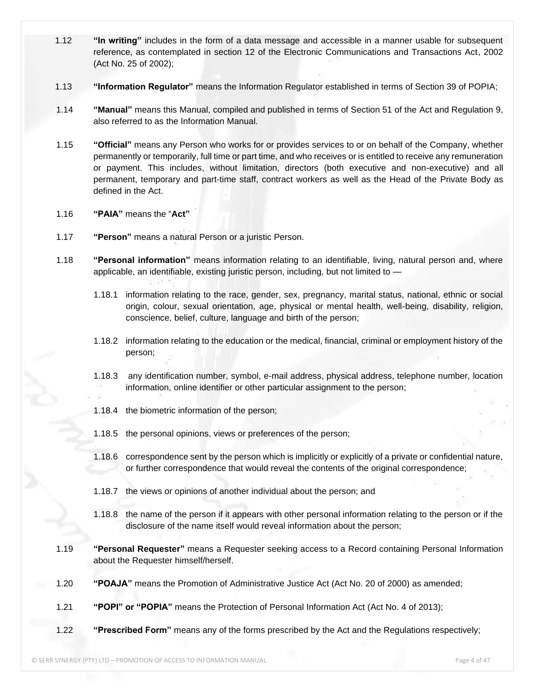- 1.12 **"In writing"** includes in the form of a data message and accessible in a manner usable for subsequent reference, as contemplated in section 12 of the Electronic Communications and Transactions Act, 2002 (Act No. 25 of 2002);
- 1.13 **"Information Regulator"** means the Information Regulator established in terms of Section 39 of POPIA;
- 1.14 **"Manual"** means this Manual, compiled and published in terms of Section 51 of the Act and Regulation 9, also referred to as the Information Manual.
- 1.15 **"Official"** means any Person who works for or provides services to or on behalf of the Company, whether permanently or temporarily, full time or part time, and who receives or is entitled to receive any remuneration or payment. This includes, without limitation, directors (both executive and non-executive) and all permanent, temporary and part-time staff, contract workers as well as the Head of the Private Body as defined in the Act.
- 1.16 **"PAIA"** means the "**Act"**
- 1.17 **"Person"** means a natural Person or a juristic Person.
- 1.18 **"Personal information"** means information relating to an identifiable, living, natural person and, where applicable, an identifiable, existing juristic person, including, but not limited to —
	- 1.18.1 information relating to the race, gender, sex, pregnancy, marital status, national, ethnic or social origin, colour, sexual orientation, age, physical or mental health, well-being, disability, religion, conscience, belief, culture, language and birth of the person;
	- 1.18.2 information relating to the education or the medical, financial, criminal or employment history of the person;
	- 1.18.3 any identification number, symbol, e-mail address, physical address, telephone number, location information, online identifier or other particular assignment to the person;
	- 1.18.4 the biometric information of the person;
	- 1.18.5 the personal opinions, views or preferences of the person;
	- 1.18.6 correspondence sent by the person which is implicitly or explicitly of a private or confidential nature, or further correspondence that would reveal the contents of the original correspondence;
	- 1.18.7 the views or opinions of another individual about the person; and
	- 1.18.8 the name of the person if it appears with other personal information relating to the person or if the disclosure of the name itself would reveal information about the person;
- 1.19 **"Personal Requester"** means a Requester seeking access to a Record containing Personal Information about the Requester himself/herself.
- 1.20 **"POAJA"** means the Promotion of Administrative Justice Act (Act No. 20 of 2000) as amended;
- 1.21 **"POPI" or "POPIA"** means the Protection of Personal Information Act (Act No. 4 of 2013);
- 1.22 **"Prescribed Form"** means any of the forms prescribed by the Act and the Regulations respectively;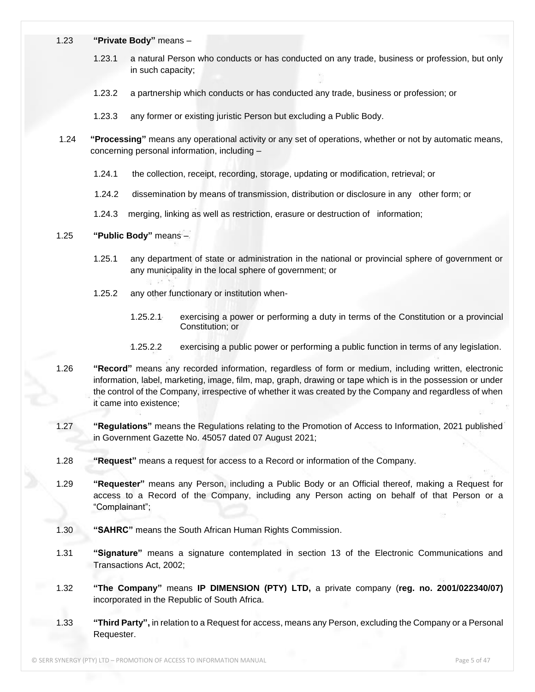- 1.23 **"Private Body"** means
	- 1.23.1 a natural Person who conducts or has conducted on any trade, business or profession, but only in such capacity;
	- 1.23.2 a partnership which conducts or has conducted any trade, business or profession; or
	- 1.23.3 any former or existing juristic Person but excluding a Public Body.
- 1.24 **"Processing"** means any operational activity or any set of operations, whether or not by automatic means, concerning personal information, including –
	- 1.24.1 the collection, receipt, recording, storage, updating or modification, retrieval; or
	- 1.24.2 dissemination by means of transmission, distribution or disclosure in any other form; or
	- 1.24.3 merging, linking as well as restriction, erasure or destruction of information;

#### 1.25 **"Public Body"** means –

- 1.25.1 any department of state or administration in the national or provincial sphere of government or any municipality in the local sphere of government; or
- 1.25.2 any other functionary or institution when-
	- 1.25.2.1 exercising a power or performing a duty in terms of the Constitution or a provincial Constitution; or
	- 1.25.2.2 exercising a public power or performing a public function in terms of any legislation.
- 1.26 **"Record"** means any recorded information, regardless of form or medium, including written, electronic information, label, marketing, image, film, map, graph, drawing or tape which is in the possession or under the control of the Company, irrespective of whether it was created by the Company and regardless of when it came into existence;
- 1.27 **"Regulations"** means the Regulations relating to the Promotion of Access to Information, 2021 published in Government Gazette No. 45057 dated 07 August 2021;
- 1.28 **"Request"** means a request for access to a Record or information of the Company.
- 1.29 **"Requester"** means any Person, including a Public Body or an Official thereof, making a Request for access to a Record of the Company, including any Person acting on behalf of that Person or a "Complainant";
- 1.30 **"SAHRC"** means the South African Human Rights Commission.
- 1.31 **"Signature"** means a signature contemplated in section 13 of the Electronic Communications and Transactions Act, 2002;
- 1.32 **"The Company"** means **IP DIMENSION (PTY) LTD,** a private company (**reg. no. 2001/022340/07)** incorporated in the Republic of South Africa.
- 1.33 **"Third Party",** in relation to a Request for access, means any Person, excluding the Company or a Personal Requester.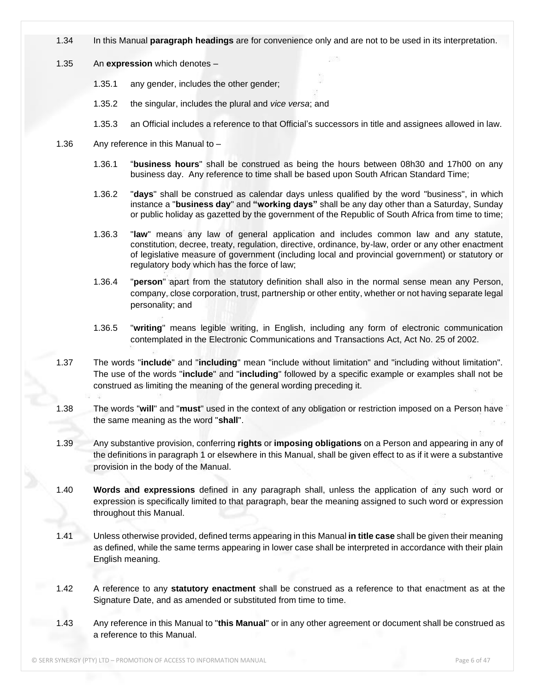- 1.34 In this Manual **paragraph headings** are for convenience only and are not to be used in its interpretation.
- 1.35 An **expression** which denotes
	- 1.35.1 any gender, includes the other gender;
	- 1.35.2 the singular, includes the plural and *vice versa*; and
	- 1.35.3 an Official includes a reference to that Official's successors in title and assignees allowed in law.
- 1.36 Any reference in this Manual to
	- 1.36.1 "**business hours**" shall be construed as being the hours between 08h30 and 17h00 on any business day. Any reference to time shall be based upon South African Standard Time;
	- 1.36.2 "**days**" shall be construed as calendar days unless qualified by the word "business", in which instance a "**business day**" and **"working days"** shall be any day other than a Saturday, Sunday or public holiday as gazetted by the government of the Republic of South Africa from time to time;
	- 1.36.3 "**law**" means any law of general application and includes common law and any statute, constitution, decree, treaty, regulation, directive, ordinance, by-law, order or any other enactment of legislative measure of government (including local and provincial government) or statutory or regulatory body which has the force of law;
	- 1.36.4 "**person**" apart from the statutory definition shall also in the normal sense mean any Person, company, close corporation, trust, partnership or other entity, whether or not having separate legal personality; and
	- 1.36.5 "**writing**" means legible writing, in English, including any form of electronic communication contemplated in the Electronic Communications and Transactions Act, Act No. 25 of 2002.
- 1.37 The words "**include**" and "**including**" mean "include without limitation" and "including without limitation". The use of the words "**include**" and "**including**" followed by a specific example or examples shall not be construed as limiting the meaning of the general wording preceding it.
- 1.38 The words "**will**" and "**must**" used in the context of any obligation or restriction imposed on a Person have the same meaning as the word "**shall**".
- 1.39 Any substantive provision, conferring **rights** or **imposing obligations** on a Person and appearing in any of the definitions in paragraph 1 or elsewhere in this Manual, shall be given effect to as if it were a substantive provision in the body of the Manual.
- 1.40 **Words and expressions** defined in any paragraph shall, unless the application of any such word or expression is specifically limited to that paragraph, bear the meaning assigned to such word or expression throughout this Manual.
- 1.41 Unless otherwise provided, defined terms appearing in this Manual **in title case** shall be given their meaning as defined, while the same terms appearing in lower case shall be interpreted in accordance with their plain English meaning.
- 1.42 A reference to any **statutory enactment** shall be construed as a reference to that enactment as at the Signature Date, and as amended or substituted from time to time.
- 1.43 Any reference in this Manual to "**this Manual**" or in any other agreement or document shall be construed as a reference to this Manual.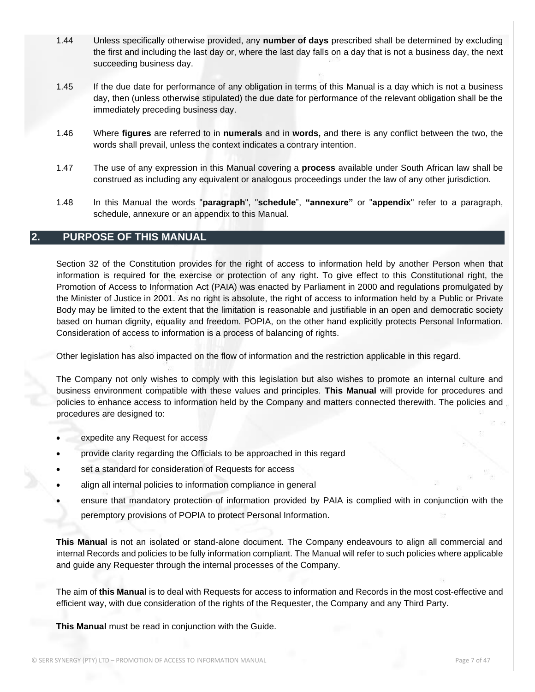- 1.44 Unless specifically otherwise provided, any **number of days** prescribed shall be determined by excluding the first and including the last day or, where the last day falls on a day that is not a business day, the next succeeding business day.
- 1.45 If the due date for performance of any obligation in terms of this Manual is a day which is not a business day, then (unless otherwise stipulated) the due date for performance of the relevant obligation shall be the immediately preceding business day.
- 1.46 Where **figures** are referred to in **numerals** and in **words,** and there is any conflict between the two, the words shall prevail, unless the context indicates a contrary intention.
- 1.47 The use of any expression in this Manual covering a **process** available under South African law shall be construed as including any equivalent or analogous proceedings under the law of any other jurisdiction.
- 1.48 In this Manual the words "**paragraph**", "**schedule**", **"annexure"** or "**appendix**" refer to a paragraph, schedule, annexure or an appendix to this Manual.

#### **2. PURPOSE OF THIS MANUAL**

Section 32 of the Constitution provides for the right of access to information held by another Person when that information is required for the exercise or protection of any right. To give effect to this Constitutional right, the Promotion of Access to Information Act (PAIA) was enacted by Parliament in 2000 and regulations promulgated by the Minister of Justice in 2001. As no right is absolute, the right of access to information held by a Public or Private Body may be limited to the extent that the limitation is reasonable and justifiable in an open and democratic society based on human dignity, equality and freedom. POPIA, on the other hand explicitly protects Personal Information. Consideration of access to information is a process of balancing of rights.

Other legislation has also impacted on the flow of information and the restriction applicable in this regard.

The Company not only wishes to comply with this legislation but also wishes to promote an internal culture and business environment compatible with these values and principles. **This Manual** will provide for procedures and policies to enhance access to information held by the Company and matters connected therewith. The policies and procedures are designed to:

- expedite any Request for access
- provide clarity regarding the Officials to be approached in this regard
- set a standard for consideration of Requests for access
- align all internal policies to information compliance in general
- ensure that mandatory protection of information provided by PAIA is complied with in conjunction with the peremptory provisions of POPIA to protect Personal Information.

**This Manual** is not an isolated or stand-alone document. The Company endeavours to align all commercial and internal Records and policies to be fully information compliant. The Manual will refer to such policies where applicable and guide any Requester through the internal processes of the Company.

The aim of **this Manual** is to deal with Requests for access to information and Records in the most cost-effective and efficient way, with due consideration of the rights of the Requester, the Company and any Third Party.

**This Manual** must be read in conjunction with the Guide.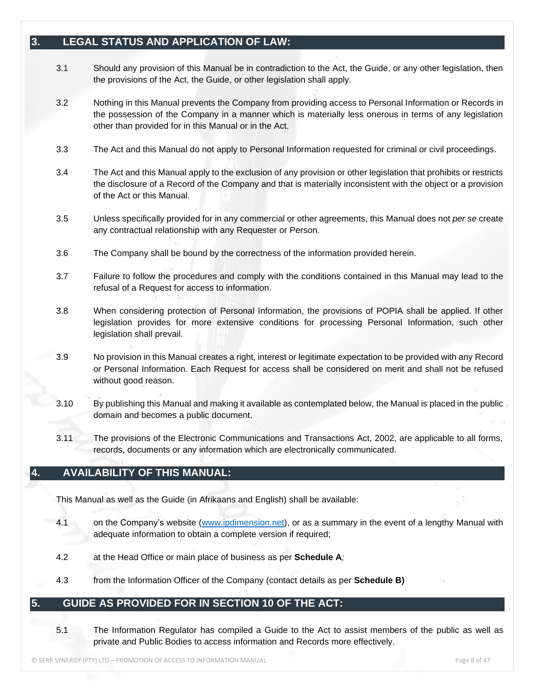## **3. LEGAL STATUS AND APPLICATION OF LAW:**

- 3.1 Should any provision of this Manual be in contradiction to the Act, the Guide, or any other legislation, then the provisions of the Act, the Guide, or other legislation shall apply.
- 3.2 Nothing in this Manual prevents the Company from providing access to Personal Information or Records in the possession of the Company in a manner which is materially less onerous in terms of any legislation other than provided for in this Manual or in the Act.
- 3.3 The Act and this Manual do not apply to Personal Information requested for criminal or civil proceedings.
- 3.4 The Act and this Manual apply to the exclusion of any provision or other legislation that prohibits or restricts the disclosure of a Record of the Company and that is materially inconsistent with the object or a provision of the Act or this Manual.
- 3.5 Unless specifically provided for in any commercial or other agreements, this Manual does not *per se* create any contractual relationship with any Requester or Person.
- 3.6 The Company shall be bound by the correctness of the information provided herein.
- 3.7 Failure to follow the procedures and comply with the conditions contained in this Manual may lead to the refusal of a Request for access to information.
- 3.8 When considering protection of Personal Information, the provisions of POPIA shall be applied. If other legislation provides for more extensive conditions for processing Personal Information, such other legislation shall prevail.
- 3.9 No provision in this Manual creates a right, interest or legitimate expectation to be provided with any Record or Personal Information. Each Request for access shall be considered on merit and shall not be refused without good reason.
- 3.10 By publishing this Manual and making it available as contemplated below, the Manual is placed in the public domain and becomes a public document.
- 3.11 The provisions of the Electronic Communications and Transactions Act, 2002, are applicable to all forms, records, documents or any information which are electronically communicated.

## **4. AVAILABILITY OF THIS MANUAL:**

This Manual as well as the Guide (in Afrikaans and English) shall be available:

- 4.1 on the Company's website [\(www.ip](http://www./)dimension.net), or as a summary in the event of a lengthy Manual with adequate information to obtain a complete version if required;
- 4.2 at the Head Office or main place of business as per **Schedule A***;*
- 4.3 from the Information Officer of the Company (contact details as per **Schedule B)**

#### **5. GUIDE AS PROVIDED FOR IN SECTION 10 OF THE ACT:**

5.1 The Information Regulator has compiled a Guide to the Act to assist members of the public as well as private and Public Bodies to access information and Records more effectively.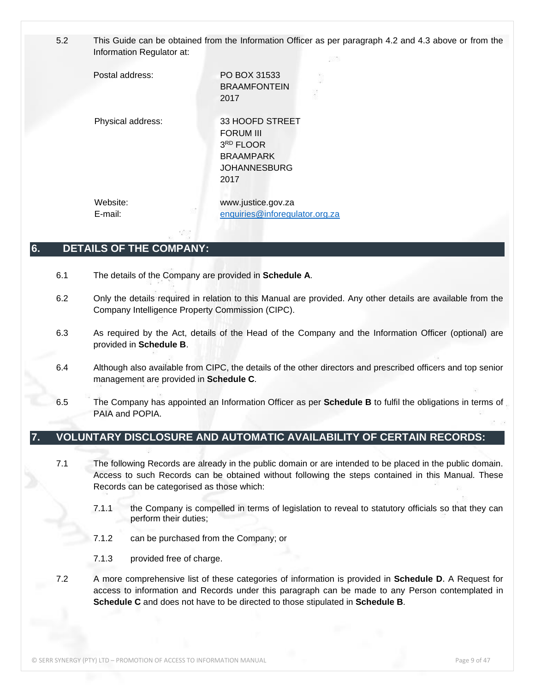5.2 This Guide can be obtained from the Information Officer as per paragraph 4.2 and 4.3 above or from the Information Regulator at:

Postal address: PO BOX 31533 BRAAMFONTEIN 2017 Physical address: 33 HOOFD STREET FORUM III 3 RD FLOOR BRAAMPARK JOHANNESBURG 2017 Website: www.justice.gov.za E-mail: [enquiries@inforegulator.org.za](mailto:enquiries@inforegulator.org.za)

#### **6. DETAILS OF THE COMPANY:**

6.1 The details of the Company are provided in **Schedule A***.*

- 6.2 Only the details required in relation to this Manual are provided. Any other details are available from the Company Intelligence Property Commission (CIPC).
- 6.3 As required by the Act, details of the Head of the Company and the Information Officer (optional) are provided in **Schedule B**.
- 6.4 Although also available from CIPC, the details of the other directors and prescribed officers and top senior management are provided in **Schedule C***.*
- 6.5 The Company has appointed an Information Officer as per **Schedule B** to fulfil the obligations in terms of PAIA and POPIA.

## **7. VOLUNTARY DISCLOSURE AND AUTOMATIC AVAILABILITY OF CERTAIN RECORDS:**

- 7.1 The following Records are already in the public domain or are intended to be placed in the public domain. Access to such Records can be obtained without following the steps contained in this Manual. These Records can be categorised as those which:
	- 7.1.1 the Company is compelled in terms of legislation to reveal to statutory officials so that they can perform their duties;
	- 7.1.2 can be purchased from the Company; or
	- 7.1.3 provided free of charge.
- 7.2 A more comprehensive list of these categories of information is provided in **Schedule D**. A Request for access to information and Records under this paragraph can be made to any Person contemplated in **Schedule C** and does not have to be directed to those stipulated in **Schedule B**.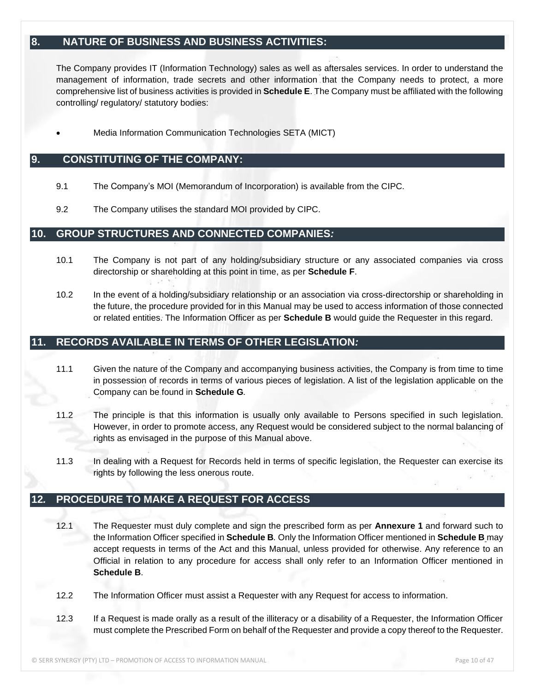## **8. NATURE OF BUSINESS AND BUSINESS ACTIVITIES:**

The Company provides IT (Information Technology) sales as well as aftersales services. In order to understand the management of information, trade secrets and other information that the Company needs to protect, a more comprehensive list of business activities is provided in **Schedule E**. The Company must be affiliated with the following controlling/ regulatory/ statutory bodies:

• Media Information Communication Technologies SETA (MICT)

#### **9. CONSTITUTING OF THE COMPANY:**

- 9.1 The Company's MOI (Memorandum of Incorporation) is available from the CIPC.
- 9.2 The Company utilises the standard MOI provided by CIPC.

#### **10. GROUP STRUCTURES AND CONNECTED COMPANIES***:*

- 10.1 The Company is not part of any holding/subsidiary structure or any associated companies via cross directorship or shareholding at this point in time, as per **Schedule F**.
- 10.2 In the event of a holding/subsidiary relationship or an association via cross-directorship or shareholding in the future, the procedure provided for in this Manual may be used to access information of those connected or related entities. The Information Officer as per **Schedule B** would guide the Requester in this regard.

## **11. RECORDS AVAILABLE IN TERMS OF OTHER LEGISLATION***:*

- 11.1 Given the nature of the Company and accompanying business activities, the Company is from time to time in possession of records in terms of various pieces of legislation. A list of the legislation applicable on the Company can be found in **Schedule G***.*
- 11.2 The principle is that this information is usually only available to Persons specified in such legislation. However, in order to promote access, any Request would be considered subject to the normal balancing of rights as envisaged in the purpose of this Manual above.
- 11.3 In dealing with a Request for Records held in terms of specific legislation, the Requester can exercise its rights by following the less onerous route.

## **12***.* **PROCEDURE TO MAKE A REQUEST FOR ACCESS**

- 12.1 The Requester must duly complete and sign the prescribed form as per **Annexure 1** and forward such to the Information Officer specified in **Schedule B***.* Only the Information Officer mentioned in **Schedule B** may accept requests in terms of the Act and this Manual, unless provided for otherwise. Any reference to an Official in relation to any procedure for access shall only refer to an Information Officer mentioned in **Schedule B**.
- 12.2 The Information Officer must assist a Requester with any Request for access to information.
- 12.3 If a Request is made orally as a result of the illiteracy or a disability of a Requester, the Information Officer must complete the Prescribed Form on behalf of the Requester and provide a copy thereof to the Requester.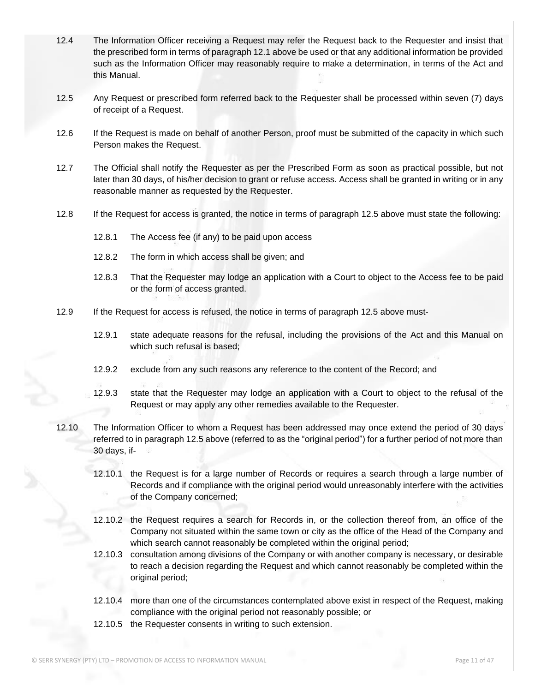- 12.4 The Information Officer receiving a Request may refer the Request back to the Requester and insist that the prescribed form in terms of paragraph 12.1 above be used or that any additional information be provided such as the Information Officer may reasonably require to make a determination, in terms of the Act and this Manual.
- 12.5 Any Request or prescribed form referred back to the Requester shall be processed within seven (7) days of receipt of a Request.
- 12.6 If the Request is made on behalf of another Person, proof must be submitted of the capacity in which such Person makes the Request.
- 12.7 The Official shall notify the Requester as per the Prescribed Form as soon as practical possible, but not later than 30 days, of his/her decision to grant or refuse access. Access shall be granted in writing or in any reasonable manner as requested by the Requester.
- 12.8 If the Request for access is granted, the notice in terms of paragraph 12.5 above must state the following:
	- 12.8.1 The Access fee (if any) to be paid upon access
	- 12.8.2 The form in which access shall be given; and
	- 12.8.3 That the Requester may lodge an application with a Court to object to the Access fee to be paid or the form of access granted.
- 12.9 If the Request for access is refused, the notice in terms of paragraph 12.5 above must-
	- 12.9.1 state adequate reasons for the refusal, including the provisions of the Act and this Manual on which such refusal is based;
	- 12.9.2 exclude from any such reasons any reference to the content of the Record; and
	- 12.9.3 state that the Requester may lodge an application with a Court to object to the refusal of the Request or may apply any other remedies available to the Requester.
- 12.10 The Information Officer to whom a Request has been addressed may once extend the period of 30 days referred to in paragraph 12.5 above (referred to as the "original period") for a further period of not more than 30 days, if-
	- 12.10.1 the Request is for a large number of Records or requires a search through a large number of Records and if compliance with the original period would unreasonably interfere with the activities of the Company concerned;
	- 12.10.2 the Request requires a search for Records in, or the collection thereof from, an office of the Company not situated within the same town or city as the office of the Head of the Company and which search cannot reasonably be completed within the original period;
	- 12.10.3 consultation among divisions of the Company or with another company is necessary, or desirable to reach a decision regarding the Request and which cannot reasonably be completed within the original period;
	- 12.10.4 more than one of the circumstances contemplated above exist in respect of the Request, making compliance with the original period not reasonably possible; or
	- 12.10.5 the Requester consents in writing to such extension.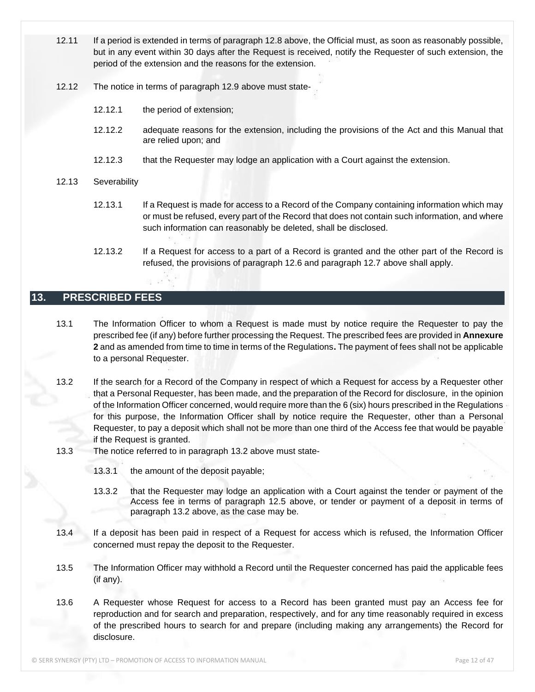- 12.11 If a period is extended in terms of paragraph 12.8 above, the Official must, as soon as reasonably possible, but in any event within 30 days after the Request is received, notify the Requester of such extension, the period of the extension and the reasons for the extension.
- 12.12 The notice in terms of paragraph 12.9 above must state-
	- 12.12.1 the period of extension;
	- 12.12.2 adequate reasons for the extension, including the provisions of the Act and this Manual that are relied upon; and
	- 12.12.3 that the Requester may lodge an application with a Court against the extension.

#### 12.13 Severability

- 12.13.1 If a Request is made for access to a Record of the Company containing information which may or must be refused, every part of the Record that does not contain such information, and where such information can reasonably be deleted, shall be disclosed.
- 12.13.2 If a Request for access to a part of a Record is granted and the other part of the Record is refused, the provisions of paragraph 12.6 and paragraph 12.7 above shall apply.

## **13. PRESCRIBED FEES**

- 13.1 The Information Officer to whom a Request is made must by notice require the Requester to pay the prescribed fee (if any) before further processing the Request. The prescribed fees are provided in **Annexure 2** and as amended from time to time in terms of the Regulations**.** The payment of fees shall not be applicable to a personal Requester.
- 13.2 If the search for a Record of the Company in respect of which a Request for access by a Requester other that a Personal Requester, has been made, and the preparation of the Record for disclosure, in the opinion of the Information Officer concerned, would require more than the 6 (six) hours prescribed in the Regulations for this purpose, the Information Officer shall by notice require the Requester, other than a Personal Requester, to pay a deposit which shall not be more than one third of the Access fee that would be payable if the Request is granted.
- 13.3 The notice referred to in paragraph 13.2 above must state-
	- 13.3.1 the amount of the deposit payable;
	- 13.3.2 that the Requester may lodge an application with a Court against the tender or payment of the Access fee in terms of paragraph 12.5 above, or tender or payment of a deposit in terms of paragraph 13.2 above, as the case may be.
- 13.4 If a deposit has been paid in respect of a Request for access which is refused, the Information Officer concerned must repay the deposit to the Requester.
- 13.5 The Information Officer may withhold a Record until the Requester concerned has paid the applicable fees (if any).
- 13.6 A Requester whose Request for access to a Record has been granted must pay an Access fee for reproduction and for search and preparation, respectively, and for any time reasonably required in excess of the prescribed hours to search for and prepare (including making any arrangements) the Record for disclosure.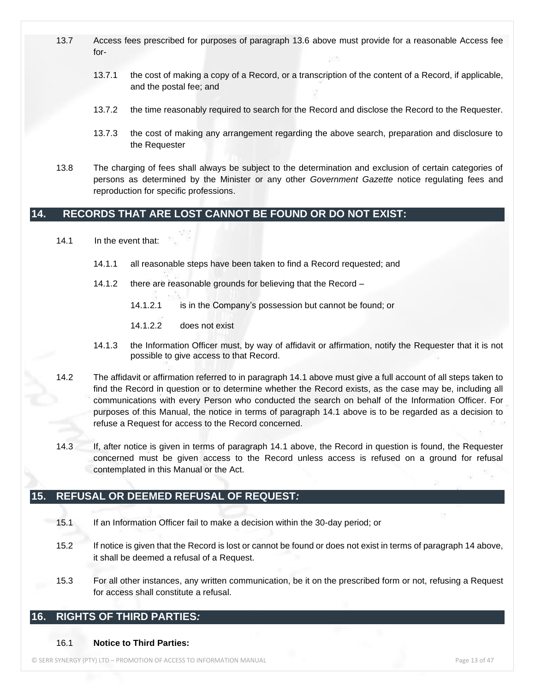- 13.7 Access fees prescribed for purposes of paragraph 13.6 above must provide for a reasonable Access fee for-
	- 13.7.1 the cost of making a copy of a Record, or a transcription of the content of a Record, if applicable, and the postal fee; and
	- 13.7.2 the time reasonably required to search for the Record and disclose the Record to the Requester.
	- 13.7.3 the cost of making any arrangement regarding the above search, preparation and disclosure to the Requester
- 13.8 The charging of fees shall always be subject to the determination and exclusion of certain categories of persons as determined by the Minister or any other *Government Gazette* notice regulating fees and reproduction for specific professions.

## **14. RECORDS THAT ARE LOST CANNOT BE FOUND OR DO NOT EXIST:**

- 14.1 In the event that:
	- 14.1.1 all reasonable steps have been taken to find a Record requested; and
	- 14.1.2 there are reasonable grounds for believing that the Record
		- 14.1.2.1 is in the Company's possession but cannot be found; or
		- 14.1.2.2 does not exist
	- 14.1.3 the Information Officer must, by way of affidavit or affirmation, notify the Requester that it is not possible to give access to that Record.
- 14.2 The affidavit or affirmation referred to in paragraph 14.1 above must give a full account of all steps taken to find the Record in question or to determine whether the Record exists, as the case may be, including all communications with every Person who conducted the search on behalf of the Information Officer. For purposes of this Manual, the notice in terms of paragraph 14.1 above is to be regarded as a decision to refuse a Request for access to the Record concerned.
- 14.3 If, after notice is given in terms of paragraph 14.1 above, the Record in question is found, the Requester concerned must be given access to the Record unless access is refused on a ground for refusal contemplated in this Manual or the Act.

## **15. REFUSAL OR DEEMED REFUSAL OF REQUEST***:*

- 15.1 If an Information Officer fail to make a decision within the 30-day period; or
- 15.2 If notice is given that the Record is lost or cannot be found or does not exist in terms of paragraph 14 above, it shall be deemed a refusal of a Request.
- 15.3 For all other instances, any written communication, be it on the prescribed form or not, refusing a Request for access shall constitute a refusal.

## **16. RIGHTS OF THIRD PARTIES***:*

#### 16.1 **Notice to Third Parties:**

© SERR SYNERGY (PTY) LTD – PROMOTION OF ACCESS TO INFORMATION MANUAL Page 13 of 47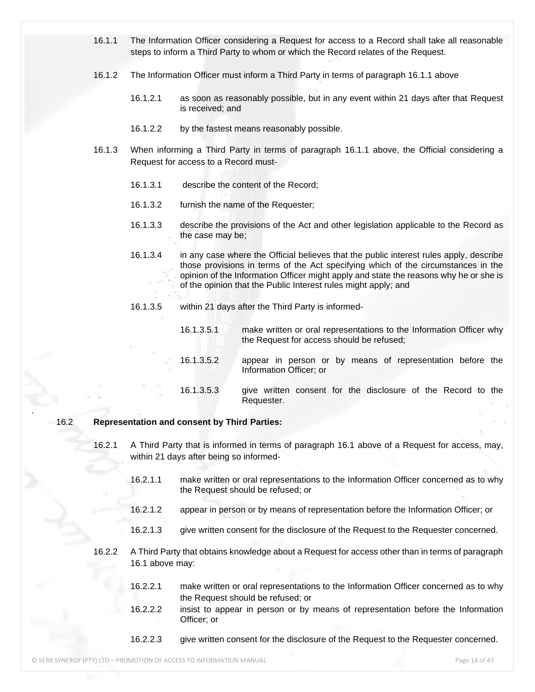- 16.1.1 The Information Officer considering a Request for access to a Record shall take all reasonable steps to inform a Third Party to whom or which the Record relates of the Request.
- 16.1.2 The Information Officer must inform a Third Party in terms of paragraph 16.1.1 above
	- 16.1.2.1 as soon as reasonably possible, but in any event within 21 days after that Request is received; and
	- 16.1.2.2 by the fastest means reasonably possible.
- 16.1.3 When informing a Third Party in terms of paragraph 16.1.1 above, the Official considering a Request for access to a Record must-
	- 16.1.3.1 describe the content of the Record;
	- 16.1.3.2 furnish the name of the Requester;
	- 16.1.3.3 describe the provisions of the Act and other legislation applicable to the Record as the case may be;
	- 16.1.3.4 in any case where the Official believes that the public interest rules apply, describe those provisions in terms of the Act specifying which of the circumstances in the opinion of the Information Officer might apply and state the reasons why he or she is of the opinion that the Public Interest rules might apply; and
	- 16.1.3.5 within 21 days after the Third Party is informed-
		- 16.1.3.5.1 make written or oral representations to the Information Officer why the Request for access should be refused;
		- 16.1.3.5.2 appear in person or by means of representation before the Information Officer; or
		- 16.1.3.5.3 give written consent for the disclosure of the Record to the Requester.

#### 16.2 **Representation and consent by Third Parties:**

.

- 16.2.1 A Third Party that is informed in terms of paragraph 16.1 above of a Request for access, may, within 21 days after being so informed-
	- 16.2.1.1 make written or oral representations to the Information Officer concerned as to why the Request should be refused; or
	- 16.2.1.2 appear in person or by means of representation before the Information Officer; or
	- 16.2.1.3 give written consent for the disclosure of the Request to the Requester concerned.
- 16.2.2 A Third Party that obtains knowledge about a Request for access other than in terms of paragraph 16.1 above may:
	- 16.2.2.1 make written or oral representations to the Information Officer concerned as to why the Request should be refused; or
	- 16.2.2.2 insist to appear in person or by means of representation before the Information Officer; or
	- 16.2.2.3 give written consent for the disclosure of the Request to the Requester concerned.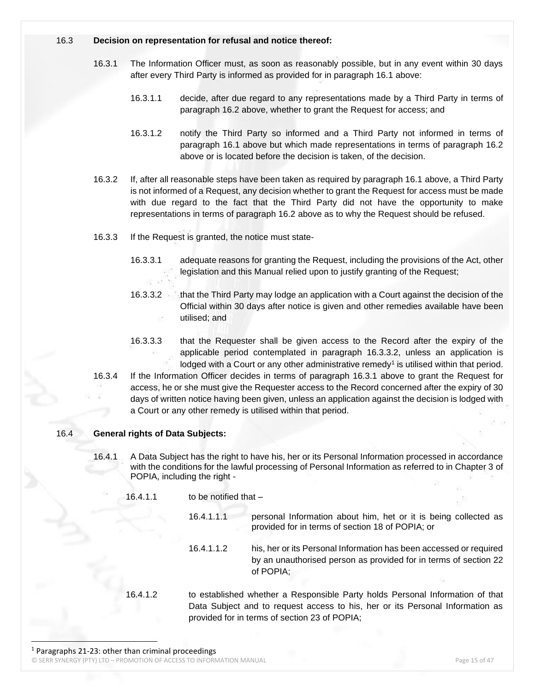#### 16.3 **Decision on representation for refusal and notice thereof:**

- 16.3.1 The Information Officer must, as soon as reasonably possible, but in any event within 30 days after every Third Party is informed as provided for in paragraph 16.1 above:
	- 16.3.1.1 decide, after due regard to any representations made by a Third Party in terms of paragraph 16.2 above, whether to grant the Request for access; and
	- 16.3.1.2 notify the Third Party so informed and a Third Party not informed in terms of paragraph 16.1 above but which made representations in terms of paragraph 16.2 above or is located before the decision is taken, of the decision.
- 16.3.2 If, after all reasonable steps have been taken as required by paragraph 16.1 above, a Third Party is not informed of a Request, any decision whether to grant the Request for access must be made with due regard to the fact that the Third Party did not have the opportunity to make representations in terms of paragraph 16.2 above as to why the Request should be refused.
- 16.3.3 If the Request is granted, the notice must state-
	- 16.3.3.1 adequate reasons for granting the Request, including the provisions of the Act, other legislation and this Manual relied upon to justify granting of the Request;
	- 16.3.3.2 that the Third Party may lodge an application with a Court against the decision of the Official within 30 days after notice is given and other remedies available have been utilised; and
	- 16.3.3.3 that the Requester shall be given access to the Record after the expiry of the applicable period contemplated in paragraph 16.3.3.2, unless an application is lodged with a Court or any other administrative remedy<sup>1</sup> is utilised within that period.
- 16.3.4 If the Information Officer decides in terms of paragraph 16.3.1 above to grant the Request for access, he or she must give the Requester access to the Record concerned after the expiry of 30 days of written notice having been given, unless an application against the decision is lodged with a Court or any other remedy is utilised within that period.

#### 16.4 **General rights of Data Subjects:**

- 16.4.1 A Data Subject has the right to have his, her or its Personal Information processed in accordance with the conditions for the lawful processing of Personal Information as referred to in Chapter 3 of POPIA, including the right -
	- 16.4.1.1 to be notified that
		- 16.4.1.1.1 personal Information about him, het or it is being collected as provided for in terms of section 18 of POPIA; or
		- 16.4.1.1.2 his, her or its Personal Information has been accessed or required by an unauthorised person as provided for in terms of section 22 of POPIA;
- 16.4.1.2 to established whether a Responsible Party holds Personal Information of that Data Subject and to request access to his, her or its Personal Information as provided for in terms of section 23 of POPIA;

 $1$  Paragraphs 21-23: other than criminal proceedings

© SERR SYNERGY (PTY) LTD – PROMOTION OF ACCESS TO INFORMATION MANUAL Page 15 of 47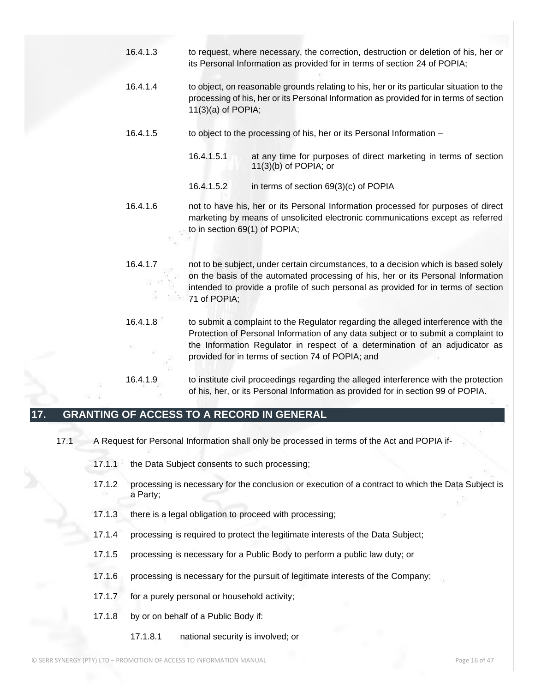- 16.4.1.3 to request, where necessary, the correction, destruction or deletion of his, her or its Personal Information as provided for in terms of section 24 of POPIA;
- 16.4.1.4 to object, on reasonable grounds relating to his, her or its particular situation to the processing of his, her or its Personal Information as provided for in terms of section 11(3)(a) of POPIA;
- 16.4.1.5 to object to the processing of his, her or its Personal Information
	- 16.4.1.5.1 at any time for purposes of direct marketing in terms of section 11(3)(b) of POPIA; or
	- 16.4.1.5.2 in terms of section 69(3)(c) of POPIA
- 16.4.1.6 not to have his, her or its Personal Information processed for purposes of direct marketing by means of unsolicited electronic communications except as referred to in section 69(1) of POPIA;
- 16.4.1.7 not to be subject, under certain circumstances, to a decision which is based solely on the basis of the automated processing of his, her or its Personal Information intended to provide a profile of such personal as provided for in terms of section 71 of POPIA;
- 16.4.1.8 to submit a complaint to the Regulator regarding the alleged interference with the Protection of Personal Information of any data subject or to submit a complaint to the Information Regulator in respect of a determination of an adjudicator as provided for in terms of section 74 of POPIA; and
- 16.4.1.9 to institute civil proceedings regarding the alleged interference with the protection of his, her, or its Personal Information as provided for in section 99 of POPIA.

## **17. GRANTING OF ACCESS TO A RECORD IN GENERAL**

- 17.1 A Request for Personal Information shall only be processed in terms of the Act and POPIA if-
	- 17.1.1 the Data Subject consents to such processing;
	- 17.1.2 processing is necessary for the conclusion or execution of a contract to which the Data Subject is a Party;
	- 17.1.3 there is a legal obligation to proceed with processing;
	- 17.1.4 processing is required to protect the legitimate interests of the Data Subject;
	- 17.1.5 processing is necessary for a Public Body to perform a public law duty; or
	- 17.1.6 processing is necessary for the pursuit of legitimate interests of the Company;
	- 17.1.7 for a purely personal or household activity;
	- 17.1.8 by or on behalf of a Public Body if:
		- 17.1.8.1 national security is involved; or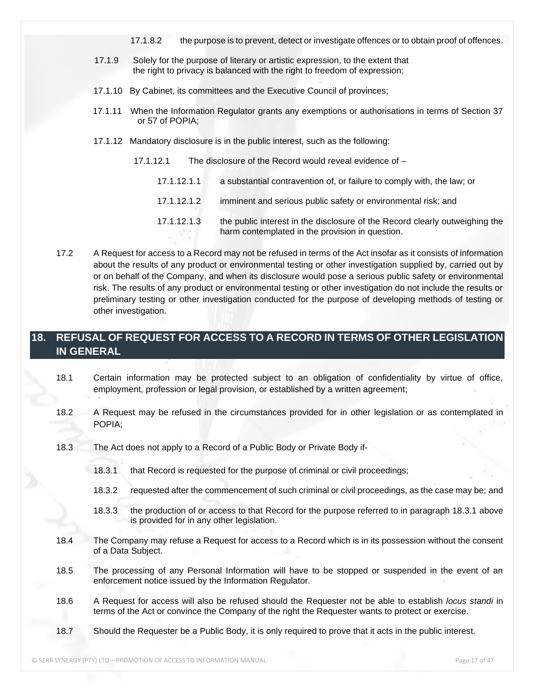- 17.1.8.2 the purpose is to prevent, detect or investigate offences or to obtain proof of offences.
- 17.1.9 Solely for the purpose of literary or artistic expression, to the extent that the right to privacy is balanced with the right to freedom of expression;
- 17.1.10 By Cabinet, its committees and the Executive Council of provinces;
- 17.1.11 When the Information Regulator grants any exemptions or authorisations in terms of Section 37 or 57 of POPIA;
- 17.1.12 Mandatory disclosure is in the public interest, such as the following:
	- 17.1.12.1 The disclosure of the Record would reveal evidence of
		- 17.1.12.1.1 a substantial contravention of, or failure to comply with, the law; or
		- 17.1.12.1.2 imminent and serious public safety or environmental risk; and
		- 17.1.12.1.3 the public interest in the disclosure of the Record clearly outweighing the harm contemplated in the provision in question.
- 17.2 A Request for access to a Record may not be refused in terms of the Act insofar as it consists of information about the results of any product or environmental testing or other investigation supplied by, carried out by or on behalf of the Company, and when its disclosure would pose a serious public safety or environmental risk. The results of any product or environmental testing or other investigation do not include the results or preliminary testing or other investigation conducted for the purpose of developing methods of testing or other investigation.

## **18. REFUSAL OF REQUEST FOR ACCESS TO A RECORD IN TERMS OF OTHER LEGISLATION IN GENERAL**

- 18.1 Certain information may be protected subject to an obligation of confidentiality by virtue of office, employment, profession or legal provision, or established by a written agreement;
- 18.2 A Request may be refused in the circumstances provided for in other legislation or as contemplated in POPIA;
- 18.3 The Act does not apply to a Record of a Public Body or Private Body if-
	- 18.3.1 that Record is requested for the purpose of criminal or civil proceedings;
	- 18.3.2 requested after the commencement of such criminal or civil proceedings, as the case may be; and
	- 18.3.3 the production of or access to that Record for the purpose referred to in paragraph 18.3.1 above is provided for in any other legislation.
- 18.4 The Company may refuse a Request for access to a Record which is in its possession without the consent of a Data Subject.
- 18.5 The processing of any Personal Information will have to be stopped or suspended in the event of an enforcement notice issued by the Information Regulator.
- 18.6 A Request for access will also be refused should the Requester not be able to establish *locus standi* in terms of the Act or convince the Company of the right the Requester wants to protect or exercise.
- 18.7 Should the Requester be a Public Body, it is only required to prove that it acts in the public interest.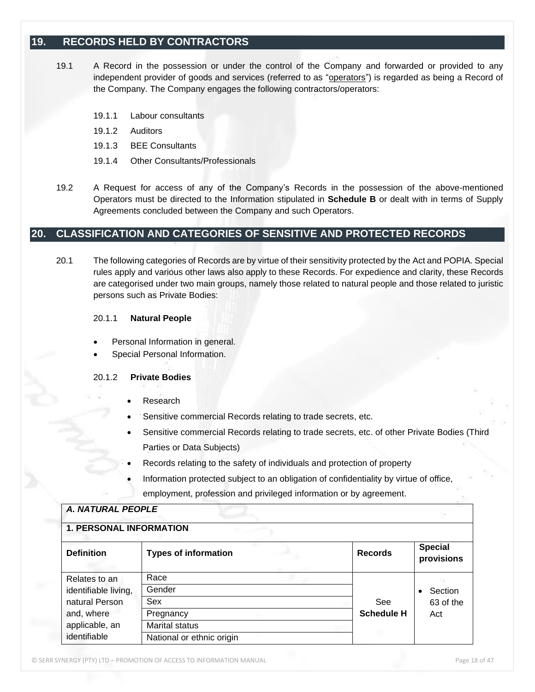## **19. RECORDS HELD BY CONTRACTORS**

- 19.1 A Record in the possession or under the control of the Company and forwarded or provided to any independent provider of goods and services (referred to as "operators") is regarded as being a Record of the Company. The Company engages the following contractors/operators:
	- 19.1.1 Labour consultants
	- 19.1.2 Auditors
	- 19.1.3 BEE Consultants
	- 19.1.4 Other Consultants/Professionals
- 19.2 A Request for access of any of the Company's Records in the possession of the above-mentioned Operators must be directed to the Information stipulated in **Schedule B** or dealt with in terms of Supply Agreements concluded between the Company and such Operators.

#### **20. CLASSIFICATION AND CATEGORIES OF SENSITIVE AND PROTECTED RECORDS**

20.1 The following categories of Records are by virtue of their sensitivity protected by the Act and POPIA. Special rules apply and various other laws also apply to these Records. For expedience and clarity, these Records are categorised under two main groups, namely those related to natural people and those related to juristic persons such as Private Bodies:

#### 20.1.1 **Natural People**

- Personal Information in general.
- Special Personal Information.

#### 20.1.2 **Private Bodies**

- Research
- Sensitive commercial Records relating to trade secrets, etc.
- Sensitive commercial Records relating to trade secrets, etc. of other Private Bodies (Third Parties or Data Subjects)
- Records relating to the safety of individuals and protection of property
- Information protected subject to an obligation of confidentiality by virtue of office, employment, profession and privileged information or by agreement.

| <b>A. NATURAL PEOPLE</b>       |                             |                   |                              |  |
|--------------------------------|-----------------------------|-------------------|------------------------------|--|
| <b>1. PERSONAL INFORMATION</b> |                             |                   |                              |  |
| <b>Definition</b>              | <b>Types of information</b> | <b>Records</b>    | <b>Special</b><br>provisions |  |
| Relates to an                  | Race                        |                   |                              |  |
| identifiable living,           | Gender                      |                   | Section                      |  |
| natural Person                 | Sex                         | See               | 63 of the                    |  |
| and, where                     | Pregnancy                   | <b>Schedule H</b> | Act                          |  |
| applicable, an                 | <b>Marital status</b>       |                   |                              |  |
| identifiable                   | National or ethnic origin   |                   |                              |  |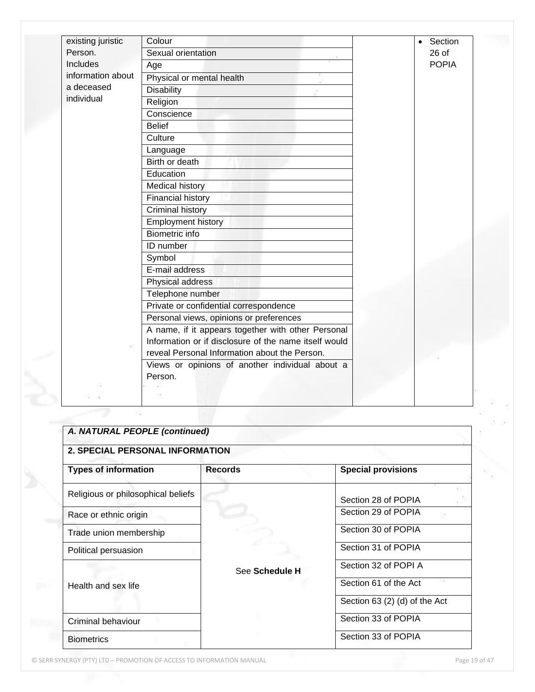| existing juristic | Colour                                                | Section<br>$\bullet$ |  |
|-------------------|-------------------------------------------------------|----------------------|--|
| Person.           | Sexual orientation                                    | $26$ of              |  |
| <b>Includes</b>   | Age                                                   | <b>POPIA</b>         |  |
| information about | Physical or mental health                             |                      |  |
| a deceased        | <b>Disability</b>                                     |                      |  |
| individual        | Religion                                              |                      |  |
|                   | Conscience                                            |                      |  |
|                   | <b>Belief</b>                                         |                      |  |
|                   | Culture                                               |                      |  |
|                   | Language                                              |                      |  |
|                   | Birth or death                                        |                      |  |
|                   | Education                                             |                      |  |
|                   | <b>Medical history</b>                                |                      |  |
|                   | <b>Financial history</b>                              |                      |  |
|                   | <b>Criminal history</b>                               |                      |  |
|                   | <b>Employment history</b>                             |                      |  |
|                   | <b>Biometric</b> info                                 |                      |  |
|                   | ID number                                             |                      |  |
|                   | Symbol                                                |                      |  |
|                   | E-mail address                                        |                      |  |
|                   | Physical address                                      |                      |  |
|                   | Telephone number                                      |                      |  |
|                   | Private or confidential correspondence                |                      |  |
|                   | Personal views, opinions or preferences               |                      |  |
|                   | A name, if it appears together with other Personal    |                      |  |
|                   | Information or if disclosure of the name itself would |                      |  |
|                   | reveal Personal Information about the Person.         |                      |  |
|                   | Views or opinions of another individual about a       |                      |  |
|                   | Person.                                               |                      |  |
|                   |                                                       |                      |  |
|                   |                                                       |                      |  |

| <b>2. SPECIAL PERSONAL INFORMATION</b> |                |                               |
|----------------------------------------|----------------|-------------------------------|
| <b>Types of information</b>            | <b>Records</b> | <b>Special provisions</b>     |
| Religious or philosophical beliefs     |                | Section 28 of POPIA           |
| Race or ethnic origin                  |                | Section 29 of POPIA           |
| Trade union membership                 |                | Section 30 of POPIA           |
| Political persuasion                   |                | Section 31 of POPIA           |
|                                        | See Schedule H | Section 32 of POPI A          |
| Health and sex life                    |                | Section 61 of the Act         |
|                                        |                | Section 63 (2) (d) of the Act |
| Criminal behaviour                     |                | Section 33 of POPIA           |
| <b>Biometrics</b>                      |                | Section 33 of POPIA           |

© SERR SYNERGY (PTY) LTD – PROMOTION OF ACCESS TO INFORMATION MANUAL Page 19 of 47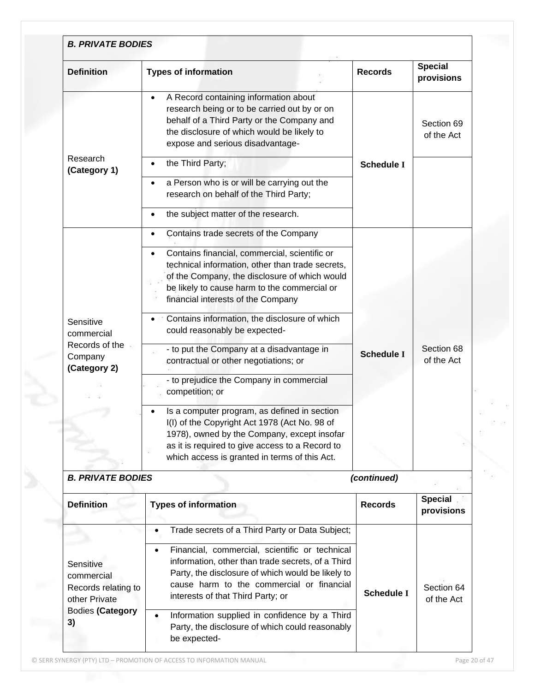| <b>Definition</b>                                                    | <b>Types of information</b>                                                                                                                                                                                                                                                                                                                                                                                                                                                                                                                                                                                                                                                                        | <b>Records</b>    | <b>Special</b><br>provisions |
|----------------------------------------------------------------------|----------------------------------------------------------------------------------------------------------------------------------------------------------------------------------------------------------------------------------------------------------------------------------------------------------------------------------------------------------------------------------------------------------------------------------------------------------------------------------------------------------------------------------------------------------------------------------------------------------------------------------------------------------------------------------------------------|-------------------|------------------------------|
| Research<br>(Category 1)                                             | A Record containing information about<br>$\bullet$<br>research being or to be carried out by or on<br>behalf of a Third Party or the Company and<br>the disclosure of which would be likely to<br>expose and serious disadvantage-<br>the Third Party;<br>a Person who is or will be carrying out the<br>research on behalf of the Third Party;<br>the subject matter of the research.<br>$\bullet$                                                                                                                                                                                                                                                                                                | <b>Schedule I</b> | Section 69<br>of the Act     |
| Sensitive<br>commercial<br>Records of the<br>Company<br>(Category 2) | Contains trade secrets of the Company<br>$\bullet$<br>Contains financial, commercial, scientific or<br>$\bullet$<br>technical information, other than trade secrets,<br>of the Company, the disclosure of which would<br>be likely to cause harm to the commercial or<br>financial interests of the Company<br>Contains information, the disclosure of which<br>could reasonably be expected-<br>- to put the Company at a disadvantage in<br>contractual or other negotiations; or<br>- to prejudice the Company in commercial<br>competition; or<br>Is a computer program, as defined in section<br>I(I) of the Copyright Act 1978 (Act No. 98 of<br>1978), owned by the Company, except insofar | <b>Schedule I</b> | Section 68<br>of the Act     |
| <b>B. PRIVATE BODIES</b>                                             | as it is required to give access to a Record to<br>which access is granted in terms of this Act.                                                                                                                                                                                                                                                                                                                                                                                                                                                                                                                                                                                                   | (continued)       |                              |
| <b>Definition</b>                                                    | <b>Types of information</b>                                                                                                                                                                                                                                                                                                                                                                                                                                                                                                                                                                                                                                                                        | <b>Records</b>    | <b>Special</b><br>provisions |

|                                                                 | Trade secrets of a Third Party or Data Subject;                                                                                                                                                                                                         |                   |                          |
|-----------------------------------------------------------------|---------------------------------------------------------------------------------------------------------------------------------------------------------------------------------------------------------------------------------------------------------|-------------------|--------------------------|
| Sensitive<br>commercial<br>Records relating to<br>other Private | Financial, commercial, scientific or technical<br>$\bullet$<br>information, other than trade secrets, of a Third<br>Party, the disclosure of which would be likely to<br>cause harm to the commercial or financial<br>interests of that Third Party; or | <b>Schedule I</b> | Section 64<br>of the Act |
| <b>Bodies (Category</b><br>3)                                   | Information supplied in confidence by a Third<br>Party, the disclosure of which could reasonably<br>be expected-                                                                                                                                        |                   |                          |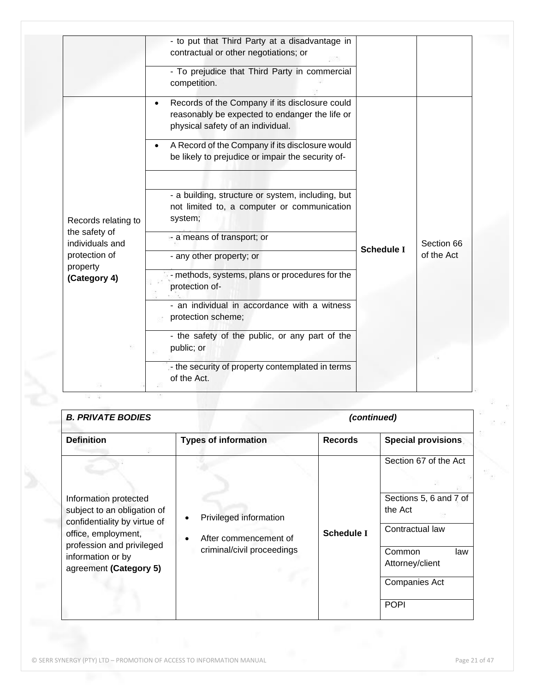|                                                              | - to put that Third Party at a disadvantage in<br>contractual or other negotiations; or<br>- To prejudice that Third Party in commercial<br>competition.                                                                                      |                   |                          |
|--------------------------------------------------------------|-----------------------------------------------------------------------------------------------------------------------------------------------------------------------------------------------------------------------------------------------|-------------------|--------------------------|
|                                                              | Records of the Company if its disclosure could<br>reasonably be expected to endanger the life or<br>physical safety of an individual.<br>A Record of the Company if its disclosure would<br>be likely to prejudice or impair the security of- |                   |                          |
| Records relating to<br>the safety of                         | - a building, structure or system, including, but<br>not limited to, a computer or communication<br>system;<br>- a means of transport; or                                                                                                     |                   |                          |
| individuals and<br>protection of<br>property<br>(Category 4) | - any other property; or<br>- methods, systems, plans or procedures for the                                                                                                                                                                   | <b>Schedule I</b> | Section 66<br>of the Act |
|                                                              | protection of-<br>- an individual in accordance with a witness<br>protection scheme;                                                                                                                                                          |                   |                          |
|                                                              | - the safety of the public, or any part of the<br>public; or<br>- the security of property contemplated in terms                                                                                                                              |                   |                          |

| <b>B. PRIVATE BODIES</b>                                                                                                                                                                |                                                                                            | (continued)       |                                                                                                                   |
|-----------------------------------------------------------------------------------------------------------------------------------------------------------------------------------------|--------------------------------------------------------------------------------------------|-------------------|-------------------------------------------------------------------------------------------------------------------|
| <b>Definition</b>                                                                                                                                                                       | <b>Types of information</b>                                                                | <b>Records</b>    | <b>Special provisions</b>                                                                                         |
| Information protected<br>subject to an obligation of<br>confidentiality by virtue of<br>office, employment,<br>profession and privileged<br>information or by<br>agreement (Category 5) | Privileged information<br>After commencement of<br>$\bullet$<br>criminal/civil proceedings | <b>Schedule I</b> | Section 67 of the Act<br>Sections 5, 6 and 7 of<br>the Act<br>Contractual law<br>Common<br>law<br>Attorney/client |
|                                                                                                                                                                                         |                                                                                            |                   | <b>Companies Act</b>                                                                                              |
|                                                                                                                                                                                         |                                                                                            |                   | <b>POPI</b>                                                                                                       |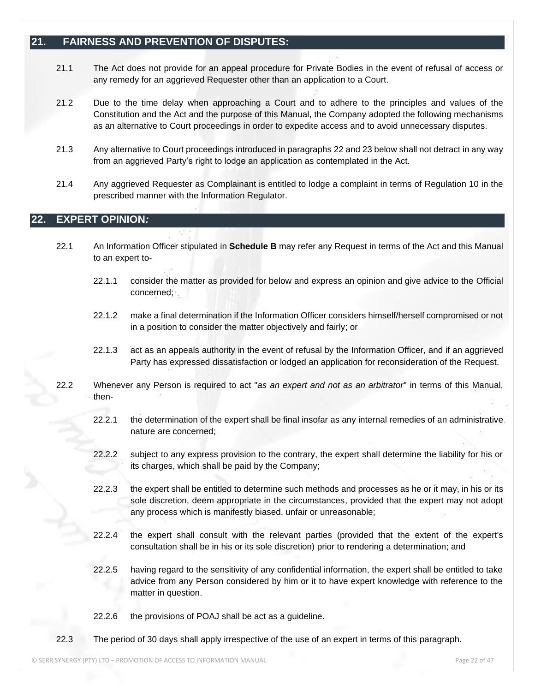### **21. FAIRNESS AND PREVENTION OF DISPUTES:**

- 21.1 The Act does not provide for an appeal procedure for Private Bodies in the event of refusal of access or any remedy for an aggrieved Requester other than an application to a Court.
- 21.2 Due to the time delay when approaching a Court and to adhere to the principles and values of the Constitution and the Act and the purpose of this Manual, the Company adopted the following mechanisms as an alternative to Court proceedings in order to expedite access and to avoid unnecessary disputes.
- 21.3 Any alternative to Court proceedings introduced in paragraphs 22 and 23 below shall not detract in any way from an aggrieved Party's right to lodge an application as contemplated in the Act.
- 21.4 Any aggrieved Requester as Complainant is entitled to lodge a complaint in terms of Regulation 10 in the prescribed manner with the Information Regulator.

## **22. EXPERT OPINION***:*

- 22.1 An Information Officer stipulated in **Schedule B** may refer any Request in terms of the Act and this Manual to an expert to-
	- 22.1.1 consider the matter as provided for below and express an opinion and give advice to the Official concerned;
	- 22.1.2 make a final determination if the Information Officer considers himself/herself compromised or not in a position to consider the matter objectively and fairly; or
	- 22.1.3 act as an appeals authority in the event of refusal by the Information Officer, and if an aggrieved Party has expressed dissatisfaction or lodged an application for reconsideration of the Request.
- 22.2 Whenever any Person is required to act "*as an expert and not as an arbitrator*" in terms of this Manual, then-
	- 22.2.1 the determination of the expert shall be final insofar as any internal remedies of an administrative nature are concerned;
	- 22.2.2 subject to any express provision to the contrary, the expert shall determine the liability for his or its charges, which shall be paid by the Company;
	- 22.2.3 the expert shall be entitled to determine such methods and processes as he or it may, in his or its sole discretion, deem appropriate in the circumstances, provided that the expert may not adopt any process which is manifestly biased, unfair or unreasonable;
	- 22.2.4 the expert shall consult with the relevant parties (provided that the extent of the expert's consultation shall be in his or its sole discretion) prior to rendering a determination; and
	- 22.2.5 having regard to the sensitivity of any confidential information, the expert shall be entitled to take advice from any Person considered by him or it to have expert knowledge with reference to the matter in question.
	- 22.2.6 the provisions of POAJ shall be act as a guideline.
- 22.3 The period of 30 days shall apply irrespective of the use of an expert in terms of this paragraph.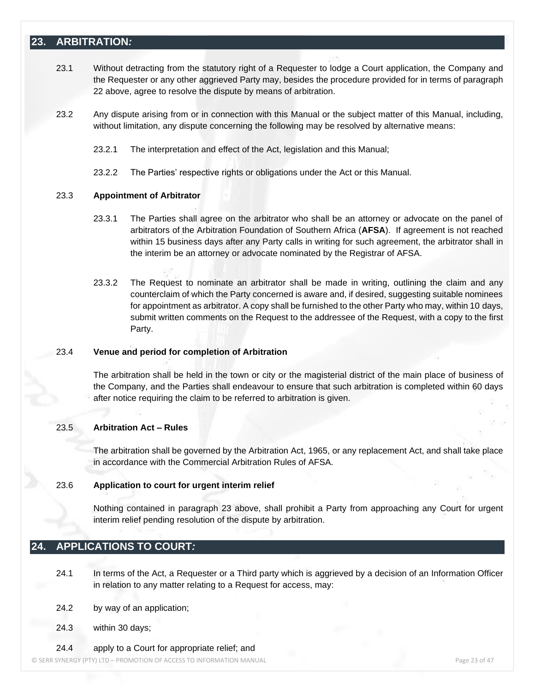## **23. ARBITRATION***:*

- 23.1 Without detracting from the statutory right of a Requester to lodge a Court application, the Company and the Requester or any other aggrieved Party may, besides the procedure provided for in terms of paragraph 22 above, agree to resolve the dispute by means of arbitration.
- 23.2 Any dispute arising from or in connection with this Manual or the subject matter of this Manual, including, without limitation, any dispute concerning the following may be resolved by alternative means:
	- 23.2.1 The interpretation and effect of the Act, legislation and this Manual;
	- 23.2.2 The Parties' respective rights or obligations under the Act or this Manual.

#### 23.3 **Appointment of Arbitrator**

- 23.3.1 The Parties shall agree on the arbitrator who shall be an attorney or advocate on the panel of arbitrators of the Arbitration Foundation of Southern Africa (**AFSA**). If agreement is not reached within 15 business days after any Party calls in writing for such agreement, the arbitrator shall in the interim be an attorney or advocate nominated by the Registrar of AFSA.
- 23.3.2 The Request to nominate an arbitrator shall be made in writing, outlining the claim and any counterclaim of which the Party concerned is aware and, if desired, suggesting suitable nominees for appointment as arbitrator. A copy shall be furnished to the other Party who may, within 10 days, submit written comments on the Request to the addressee of the Request, with a copy to the first Party.

#### 23.4 **Venue and period for completion of Arbitration**

The arbitration shall be held in the town or city or the magisterial district of the main place of business of the Company, and the Parties shall endeavour to ensure that such arbitration is completed within 60 days after notice requiring the claim to be referred to arbitration is given.

#### 23.5 **Arbitration Act – Rules**

The arbitration shall be governed by the Arbitration Act, 1965, or any replacement Act, and shall take place in accordance with the Commercial Arbitration Rules of AFSA.

#### 23.6 **Application to court for urgent interim relief**

Nothing contained in paragraph 23 above, shall prohibit a Party from approaching any Court for urgent interim relief pending resolution of the dispute by arbitration.

## **24. APPLICATIONS TO COURT***:*

24.1 In terms of the Act, a Requester or a Third party which is aggrieved by a decision of an Information Officer in relation to any matter relating to a Request for access, may:

- 24.2 by way of an application;
- 24.3 within 30 days;

24.4 apply to a Court for appropriate relief; and

© SERR SYNERGY (PTY) LTD – PROMOTION OF ACCESS TO INFORMATION MANUAL Page 23 of 47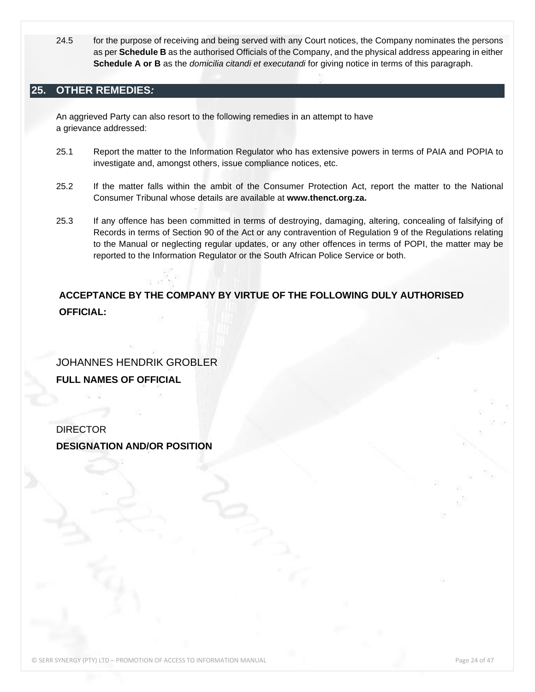24.5 for the purpose of receiving and being served with any Court notices, the Company nominates the persons as per **Schedule B** as the authorised Officials of the Company, and the physical address appearing in either **Schedule A or B** as the *domicilia citandi et executandi* for giving notice in terms of this paragraph.

## **25. OTHER REMEDIES***:*

An aggrieved Party can also resort to the following remedies in an attempt to have a grievance addressed:

- 25.1 Report the matter to the Information Regulator who has extensive powers in terms of PAIA and POPIA to investigate and, amongst others, issue compliance notices, etc.
- 25.2 If the matter falls within the ambit of the Consumer Protection Act, report the matter to the National Consumer Tribunal whose details are available at **www.thenct.org.za.**
- 25.3 If any offence has been committed in terms of destroying, damaging, altering, concealing of falsifying of Records in terms of Section 90 of the Act or any contravention of Regulation 9 of the Regulations relating to the Manual or neglecting regular updates, or any other offences in terms of POPI, the matter may be reported to the Information Regulator or the South African Police Service or both.

## **ACCEPTANCE BY THE COMPANY BY VIRTUE OF THE FOLLOWING DULY AUTHORISED OFFICIAL:**

JOHANNES HENDRIK GROBLER **FULL NAMES OF OFFICIAL**

DIRECTOR **DESIGNATION AND/OR POSITION**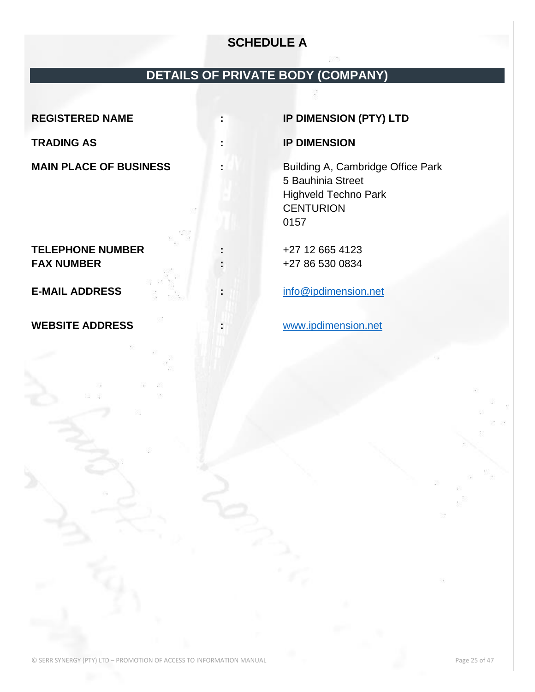## **SCHEDULE A**

## **DETAILS OF PRIVATE BODY (COMPANY)**

**TELEPHONE NUMBER :** +27 12 665 4123 **FAX NUMBER :** +27 86 530 0834

**WEBSITE ADDRESS :** [www.ipdimension.net](http://www.ipdimension.net/)

**REGISTERED NAME : IP DIMENSION (PTY) LTD**

## **TRADING AS : IP DIMENSION**

**MAIN PLACE OF BUSINESS :** Building A, Cambridge Office Park 5 Bauhinia Street Highveld Techno Park **CENTURION** 0157

**E-MAIL ADDRESS :** [info@ipdimension.net](mailto:info@ipdimension.net)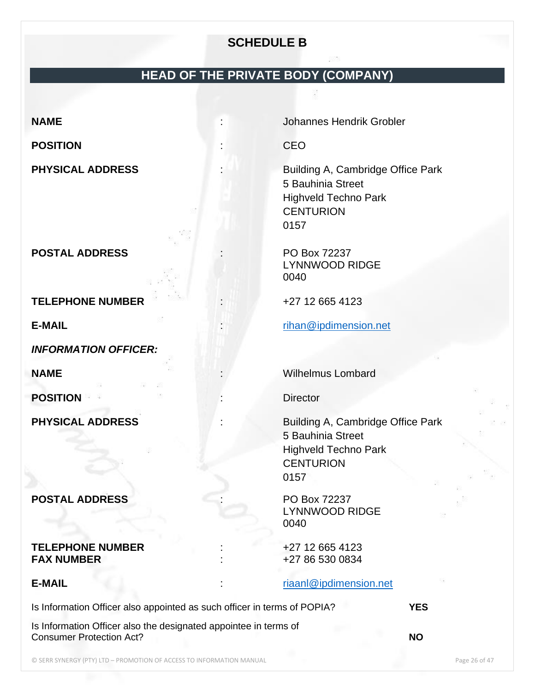## **SCHEDULE B**

## **HEAD OF THE PRIVATE BODY (COMPANY)**

## **POSITION** : CEO

**POSTAL ADDRESS** : PO Box 72237

**TELEPHONE NUMBER** :  $+27$  12 665 4123

*INFORMATION OFFICER:*

**POSITION** : Director

## **POSTAL ADDRESS** : PO Box 72237

#### **TELEPHONE NUMBER** :  $+27$  12 665 4123 **FAX NUMBER**  $+27865300834$

Is Information Officer also appointed as such officer in terms of POPIA? **YES**

Is Information Officer also the designated appointee in terms of Consumer Protection Act? **NO**

**NAME** : Johannes Hendrik Grobler

**PHYSICAL ADDRESS** : Building A, Cambridge Office Park 5 Bauhinia Street Highveld Techno Park **CENTURION** 0157

> LYNNWOOD RIDGE 0040

**E-MAIL** : [rihan@ipdimension.net](mailto:rihan@ipdimension.net)

**NAME In the contract of the contract of the contract of the contract of the Wilhelmus Lombard** 

**PHYSICAL ADDRESS** : Building A, Cambridge Office Park 5 Bauhinia Street Highveld Techno Park **CENTURION** 0157

> LYNNWOOD RIDGE 0040

## **E-MAIL** : [riaanl@ipdimension.net](mailto:riaanl@ipdimension.net)

© SERR SYNERGY (PTY) LTD – PROMOTION OF ACCESS TO INFORMATION MANUAL Page 26 of 47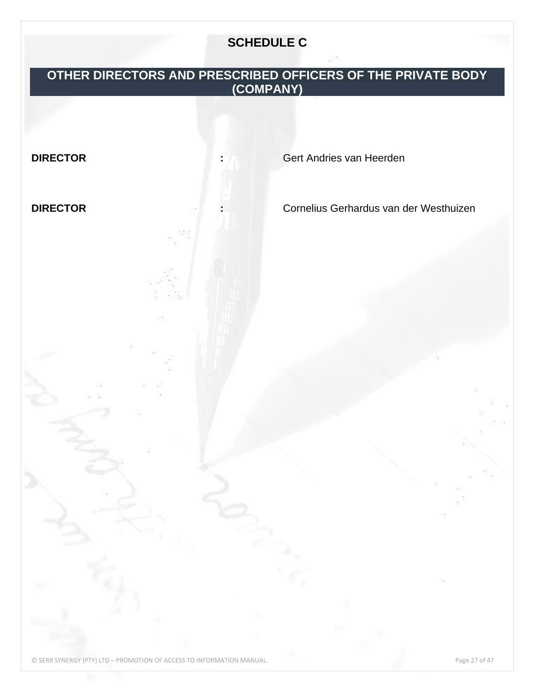## **SCHEDULE C**

## **OTHER DIRECTORS AND PRESCRIBED OFFICERS OF THE PRIVATE BODY (COMPANY)**

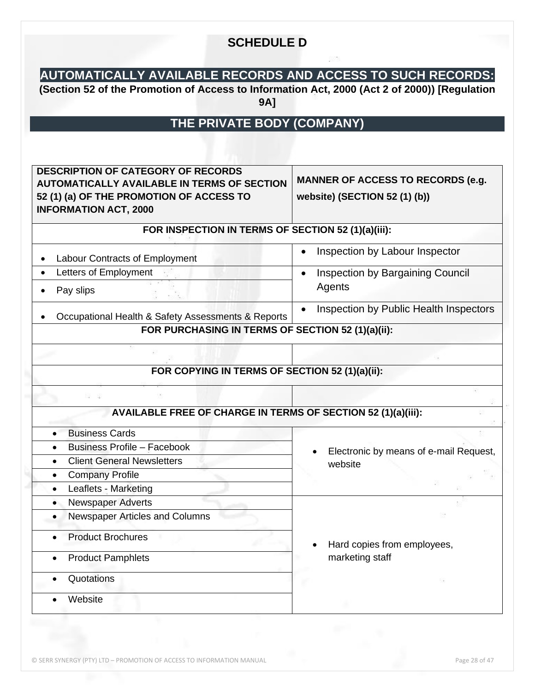## **SCHEDULE D**

## **AUTOMATICALLY AVAILABLE RECORDS AND ACCESS TO SUCH RECORDS:**

**(Section 52 of the Promotion of Access to Information Act, 2000 (Act 2 of 2000)) [Regulation 9A]**

## **THE PRIVATE BODY (COMPANY)**

| <b>AUTOMATICALLY AVAILABLE IN TERMS OF SECTION</b><br>52 (1) (a) OF THE PROMOTION OF ACCESS TO<br><b>INFORMATION ACT, 2000</b> | <b>MANNER OF ACCESS TO RECORDS (e.g.</b><br>website) (SECTION 52 (1) (b)) |
|--------------------------------------------------------------------------------------------------------------------------------|---------------------------------------------------------------------------|
| FOR INSPECTION IN TERMS OF SECTION 52 (1)(a)(iii):                                                                             |                                                                           |
| Labour Contracts of Employment                                                                                                 | Inspection by Labour Inspector                                            |
| Letters of Employment<br>$\bullet$<br>Pay slips<br>$\bullet$                                                                   | Inspection by Bargaining Council<br>$\bullet$<br>Agents                   |
| Occupational Health & Safety Assessments & Reports                                                                             | Inspection by Public Health Inspectors<br>$\bullet$                       |
| FOR PURCHASING IN TERMS OF SECTION 52 (1)(a)(ii):                                                                              |                                                                           |
|                                                                                                                                |                                                                           |
| FOR COPYING IN TERMS OF SECTION 52 (1)(a)(ii):                                                                                 |                                                                           |
|                                                                                                                                |                                                                           |
| <b>AVAILABLE FREE OF CHARGE IN TERMS OF SECTION 52 (1)(a)(iii):</b>                                                            |                                                                           |
| <b>Business Cards</b>                                                                                                          |                                                                           |
| <b>Business Profile - Facebook</b><br>$\bullet$                                                                                |                                                                           |
| <b>Client General Newsletters</b><br>$\bullet$                                                                                 | Electronic by means of e-mail Request,                                    |
| <b>Company Profile</b><br>$\bullet$                                                                                            | website                                                                   |
| Leaflets - Marketing<br>$\bullet$                                                                                              |                                                                           |
| Newspaper Adverts<br>$\bullet$                                                                                                 |                                                                           |
| Newspaper Articles and Columns<br>$\bullet$                                                                                    |                                                                           |
| <b>Product Brochures</b>                                                                                                       | Hard copies from employees,                                               |
| <b>Product Pamphlets</b><br>$\bullet$                                                                                          | marketing staff                                                           |
| Quotations                                                                                                                     |                                                                           |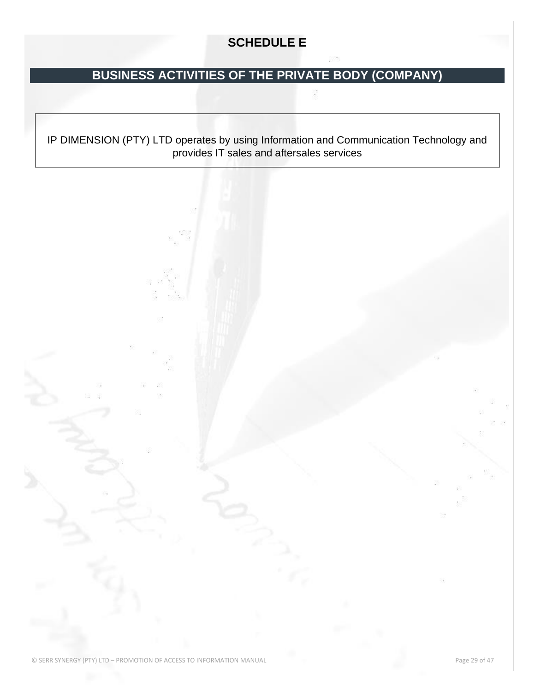## **SCHEDULE E**

## **BUSINESS ACTIVITIES OF THE PRIVATE BODY (COMPANY)**

IP DIMENSION (PTY) LTD operates by using Information and Communication Technology and provides IT sales and aftersales services

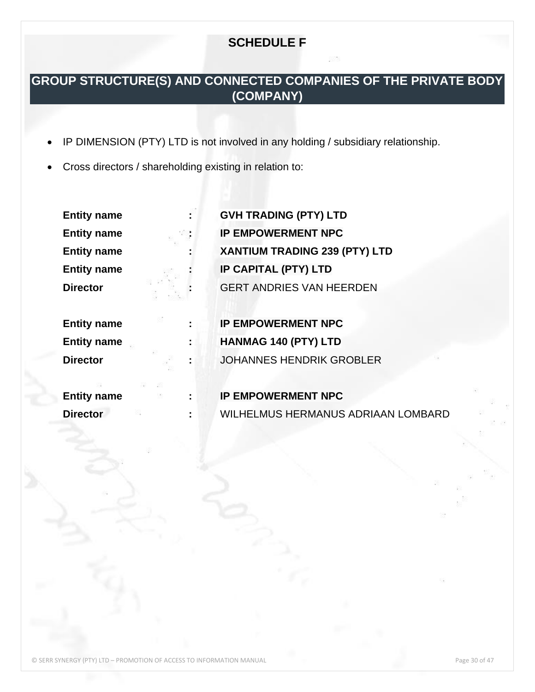## **SCHEDULE F**

## **GROUP STRUCTURE(S) AND CONNECTED COMPANIES OF THE PRIVATE BODY (COMPANY)**

- IP DIMENSION (PTY) LTD is not involved in any holding / subsidiary relationship.
- Cross directors / shareholding existing in relation to:

| <b>Entity name</b> |    | <b>GVH TRADING (PTY) LTD</b>              |
|--------------------|----|-------------------------------------------|
| <b>Entity name</b> |    | <b>IP EMPOWERMENT NPC</b>                 |
| <b>Entity name</b> |    | XANTIUM TRADING 239 (PTY) LTD             |
| <b>Entity name</b> |    | <b>IP CAPITAL (PTY) LTD</b>               |
| <b>Director</b>    |    | <b>GERT ANDRIES VAN HEERDEN</b>           |
|                    |    |                                           |
| <b>Entity name</b> |    | <b>IP EMPOWERMENT NPC</b>                 |
| <b>Entity name</b> | ÷  | HANMAG 140 (PTY) LTD                      |
| <b>Director</b>    | ÷  | <b>JOHANNES HENDRIK GROBLER</b>           |
|                    |    |                                           |
| <b>Entity name</b> | ÷. | <b>IP EMPOWERMENT NPC</b>                 |
| <b>Director</b>    | t  | <b>WILHELMUS HERMANUS ADRIAAN LOMBARD</b> |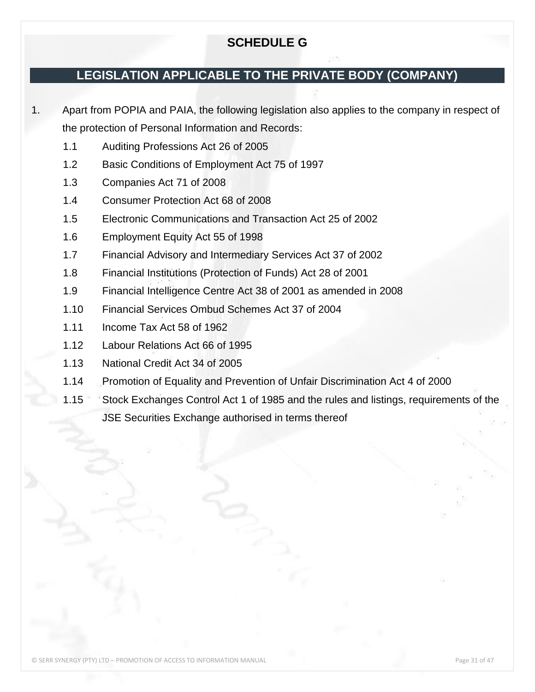## **SCHEDULE G**

## **LEGISLATION APPLICABLE TO THE PRIVATE BODY (COMPANY)**

1. Apart from POPIA and PAIA, the following legislation also applies to the company in respect of the protection of Personal Information and Records:

- 1.1 Auditing Professions Act 26 of 2005
- 1.2 Basic Conditions of Employment Act 75 of 1997
- 1.3 Companies Act 71 of 2008
- 1.4 Consumer Protection Act 68 of 2008
- 1.5 Electronic Communications and Transaction Act 25 of 2002
- 1.6 Employment Equity Act 55 of 1998
- 1.7 Financial Advisory and Intermediary Services Act 37 of 2002
- 1.8 Financial Institutions (Protection of Funds) Act 28 of 2001
- 1.9 Financial Intelligence Centre Act 38 of 2001 as amended in 2008
- 1.10 Financial Services Ombud Schemes Act 37 of 2004
- 1.11 Income Tax Act 58 of 1962
- 1.12 Labour Relations Act 66 of 1995
- 1.13 National Credit Act 34 of 2005
- 1.14 Promotion of Equality and Prevention of Unfair Discrimination Act 4 of 2000
- 1.15 Stock Exchanges Control Act 1 of 1985 and the rules and listings, requirements of the JSE Securities Exchange authorised in terms thereof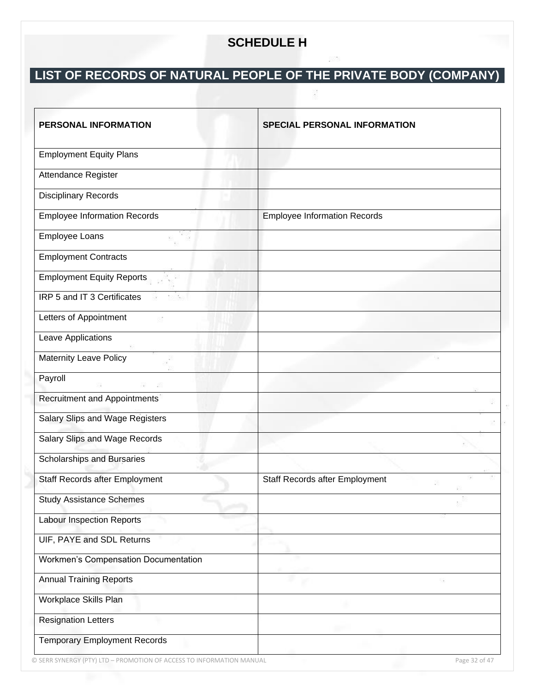## **SCHEDULE H**

# **LIST OF RECORDS OF NATURAL PEOPLE OF THE PRIVATE BODY (COMPANY)**

| PERSONAL INFORMATION                        | <b>SPECIAL PERSONAL INFORMATION</b> |
|---------------------------------------------|-------------------------------------|
| <b>Employment Equity Plans</b>              |                                     |
| Attendance Register                         |                                     |
| <b>Disciplinary Records</b>                 |                                     |
| <b>Employee Information Records</b>         | <b>Employee Information Records</b> |
| Employee Loans                              |                                     |
| <b>Employment Contracts</b>                 |                                     |
| <b>Employment Equity Reports</b>            |                                     |
| IRP 5 and IT 3 Certificates                 |                                     |
| Letters of Appointment                      |                                     |
| Leave Applications                          |                                     |
| <b>Maternity Leave Policy</b>               |                                     |
| Payroll                                     |                                     |
| <b>Recruitment and Appointments</b>         |                                     |
| Salary Slips and Wage Registers             |                                     |
| Salary Slips and Wage Records               |                                     |
| Scholarships and Bursaries                  |                                     |
| Staff Records after Employment              | Staff Records after Employment      |
| <b>Study Assistance Schemes</b>             |                                     |
| <b>Labour Inspection Reports</b>            |                                     |
| UIF, PAYE and SDL Returns                   |                                     |
| <b>Workmen's Compensation Documentation</b> |                                     |
| <b>Annual Training Reports</b>              |                                     |
| Workplace Skills Plan                       |                                     |
| <b>Resignation Letters</b>                  |                                     |
| <b>Temporary Employment Records</b>         |                                     |

© SERR SYNERGY (PTY) LTD – PROMOTION OF ACCESS TO INFORMATION MANUAL Page 32 of 47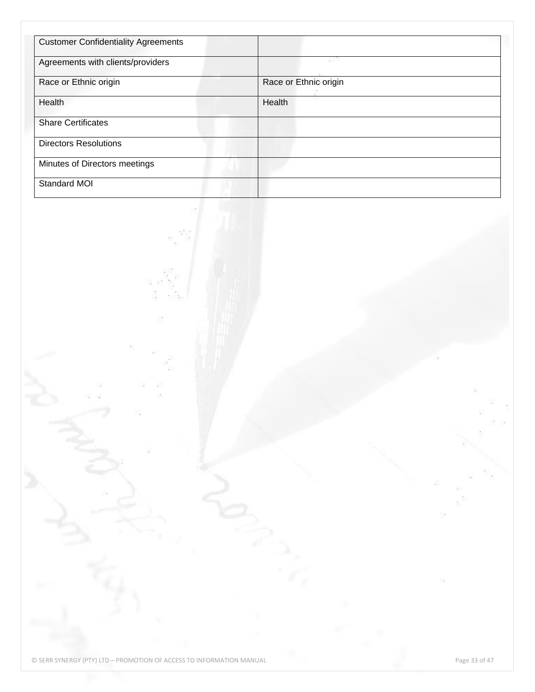| <b>Customer Confidentiality Agreements</b> |                       |  |
|--------------------------------------------|-----------------------|--|
| Agreements with clients/providers          | 1882                  |  |
| Race or Ethnic origin                      | Race or Ethnic origin |  |
| Health                                     | Health                |  |
| <b>Share Certificates</b>                  |                       |  |
| <b>Directors Resolutions</b>               |                       |  |
| Minutes of Directors meetings              |                       |  |
| Standard MOI                               |                       |  |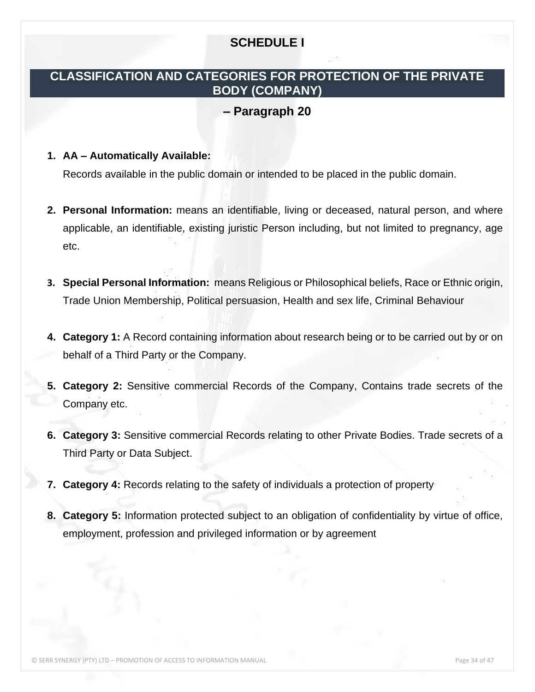## **SCHEDULE I**

## **CLASSIFICATION AND CATEGORIES FOR PROTECTION OF THE PRIVATE BODY (COMPANY)**

## **– Paragraph 20**

#### **1. AA – Automatically Available:**

Records available in the public domain or intended to be placed in the public domain.

- **2. Personal Information:** means an identifiable, living or deceased, natural person, and where applicable, an identifiable, existing juristic Person including, but not limited to pregnancy, age etc.
- **3. Special Personal Information:** means Religious or Philosophical beliefs, Race or Ethnic origin, Trade Union Membership, Political persuasion, Health and sex life, Criminal Behaviour
- **4. Category 1:** A Record containing information about research being or to be carried out by or on behalf of a Third Party or the Company.
- **5. Category 2:** Sensitive commercial Records of the Company, Contains trade secrets of the Company etc.
- **6. Category 3:** Sensitive commercial Records relating to other Private Bodies. Trade secrets of a Third Party or Data Subject.
- **7. Category 4:** Records relating to the safety of individuals a protection of property
- **8. Category 5:** Information protected subject to an obligation of confidentiality by virtue of office, employment, profession and privileged information or by agreement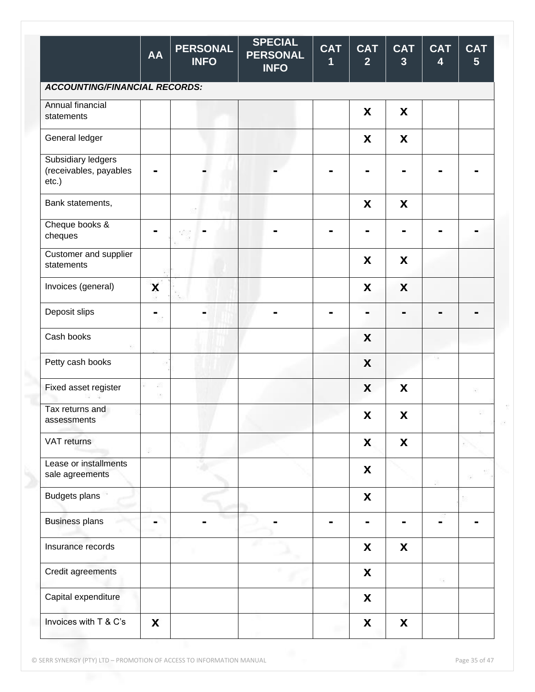|                                                       | <b>AA</b> | <b>PERSONAL</b><br><b>INFO</b> | <b>SPECIAL</b><br><b>PERSONAL</b><br><b>INFO</b> | <b>CAT</b><br>1 | <b>CAT</b><br>$\overline{2}$ | <b>CAT</b><br>$\overline{3}$ | <b>CAT</b><br>4 | <b>CAT</b><br>$5\phantom{1}$ |
|-------------------------------------------------------|-----------|--------------------------------|--------------------------------------------------|-----------------|------------------------------|------------------------------|-----------------|------------------------------|
| <b>ACCOUNTING/FINANCIAL RECORDS:</b>                  |           |                                |                                                  |                 |                              |                              |                 |                              |
| Annual financial<br>statements                        |           |                                |                                                  |                 | X                            | X                            |                 |                              |
| General ledger                                        |           |                                |                                                  |                 | X                            | X                            |                 |                              |
| Subsidiary ledgers<br>(receivables, payables<br>etc.) |           |                                |                                                  |                 |                              |                              |                 |                              |
| Bank statements,                                      |           |                                |                                                  |                 | X                            | X                            |                 |                              |
| Cheque books &<br>cheques                             |           |                                |                                                  |                 |                              |                              |                 |                              |
| Customer and supplier<br>statements                   |           |                                |                                                  |                 | X                            | X                            |                 |                              |
| Invoices (general)                                    | X         |                                |                                                  |                 | X                            | X                            |                 |                              |
| Deposit slips                                         | -         |                                |                                                  |                 | $\blacksquare$               |                              |                 |                              |
| Cash books                                            |           |                                |                                                  |                 | X                            |                              |                 |                              |
| Petty cash books                                      |           |                                |                                                  |                 | X                            |                              |                 |                              |
| Fixed asset register                                  | ø<br>猕    |                                |                                                  |                 | X                            | X                            |                 | 16                           |
| Tax returns and<br>assessments                        |           |                                |                                                  |                 | X                            | X                            |                 |                              |
| VAT returns                                           | 8         |                                |                                                  |                 | X                            | X                            |                 |                              |
| Lease or installments<br>sale agreements              |           |                                |                                                  |                 | $\pmb{\mathsf{X}}$           |                              |                 |                              |
| <b>Budgets plans</b>                                  |           |                                |                                                  |                 | X                            |                              |                 |                              |
| <b>Business plans</b>                                 |           |                                |                                                  |                 | $\blacksquare$               | $\blacksquare$               | $\blacksquare$  |                              |
| Insurance records                                     |           |                                |                                                  |                 | X                            | X                            |                 |                              |
| Credit agreements                                     |           |                                |                                                  |                 | X                            |                              | 掇               |                              |
| Capital expenditure                                   |           |                                |                                                  |                 | $\boldsymbol{\mathsf{X}}$    |                              |                 |                              |
| Invoices with T & C's                                 | X         |                                |                                                  |                 | X                            | X                            |                 |                              |

© SERR SYNERGY (PTY) LTD – PROMOTION OF ACCESS TO INFORMATION MANUAL Page 35 of 47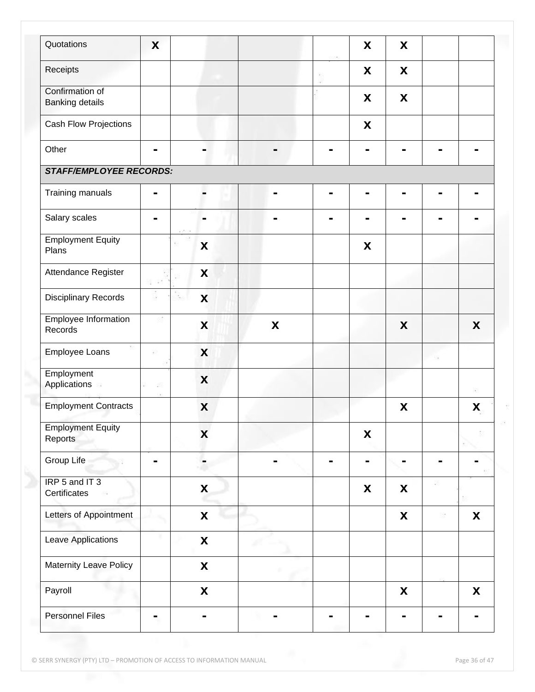| Quotations                                | X              |                                  |   | X                         | X                         |   |   |
|-------------------------------------------|----------------|----------------------------------|---|---------------------------|---------------------------|---|---|
| Receipts                                  |                |                                  |   | X                         | X                         |   |   |
| Confirmation of<br><b>Banking details</b> |                |                                  |   | X                         | X                         |   |   |
| Cash Flow Projections                     |                |                                  |   | X                         |                           |   |   |
| Other                                     | -              |                                  |   |                           |                           |   |   |
| <b>STAFF/EMPLOYEE RECORDS:</b>            |                |                                  |   |                           |                           |   |   |
| Training manuals                          |                |                                  |   |                           |                           |   |   |
| Salary scales                             | -              |                                  |   |                           |                           |   |   |
| <b>Employment Equity</b><br>Plans         |                | X                                |   | X                         |                           |   |   |
| Attendance Register                       |                | X                                |   |                           |                           |   |   |
| <b>Disciplinary Records</b>               | B              | $\boldsymbol{\mathsf{X}}$<br>939 |   |                           |                           |   |   |
| Employee Information<br>Records           |                | X                                | X |                           | X                         |   | X |
| Employee Loans                            | まい しょうしょう      | X                                |   |                           |                           |   |   |
| Employment<br>Applications                | 42             | X                                |   |                           |                           |   | ĸ |
| <b>Employment Contracts</b>               |                | X                                |   |                           | X                         |   | X |
| <b>Employment Equity</b><br>Reports       |                | X                                |   | X                         |                           |   |   |
| Group Life                                | $\blacksquare$ |                                  |   |                           |                           |   |   |
| IRP 5 and IT 3<br>Certificates            |                | $\boldsymbol{\mathsf{X}}$        |   | $\boldsymbol{\mathsf{X}}$ | X                         |   |   |
| Letters of Appointment                    |                | $\boldsymbol{\mathsf{X}}$        |   |                           | $\boldsymbol{\mathsf{X}}$ | 怒 | X |
| Leave Applications                        |                | $\pmb{\mathsf{X}}$               |   |                           |                           |   |   |
| Maternity Leave Policy                    |                | $\pmb{\mathsf{X}}$               |   |                           |                           |   |   |
| Payroll                                   |                | $\boldsymbol{\mathsf{X}}$        |   |                           | X                         |   | X |
| <b>Personnel Files</b>                    | ۰              |                                  |   |                           |                           |   |   |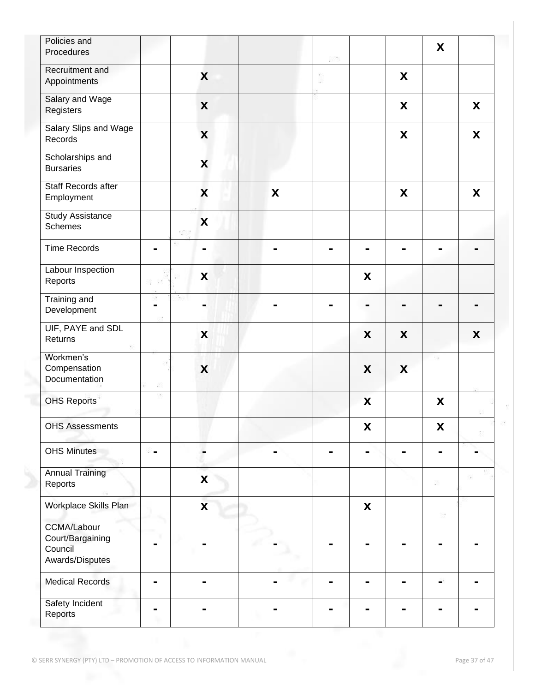| Policies and<br>Procedures                                           |                |                           |   | RY 6 |                           |   | X                         |   |
|----------------------------------------------------------------------|----------------|---------------------------|---|------|---------------------------|---|---------------------------|---|
| Recruitment and<br>Appointments                                      |                | X                         |   |      |                           | X |                           |   |
| Salary and Wage<br>Registers                                         |                | X                         |   |      |                           | X |                           | X |
| Salary Slips and Wage<br>Records                                     |                | X                         |   |      |                           | X |                           | X |
| Scholarships and<br><b>Bursaries</b>                                 |                | X                         |   |      |                           |   |                           |   |
| Staff Records after<br>Employment                                    |                | $\overline{\mathbf{X}}$   | X |      |                           | X |                           | X |
| Study Assistance<br><b>Schemes</b>                                   |                | X                         |   |      |                           |   |                           |   |
| <b>Time Records</b>                                                  | $\blacksquare$ |                           |   |      |                           |   | -                         |   |
| Labour Inspection<br>Reports                                         | 32 83          | X                         |   |      | X                         |   |                           |   |
| <b>Training and</b><br>Development                                   | -              | ۰                         |   |      | -                         | н | -                         | - |
| UIF, PAYE and SDL<br>Returns                                         |                | X                         |   |      | X                         | X |                           | X |
| Workmen's<br>Compensation<br>Documentation                           | 42             | $\boldsymbol{\mathsf{X}}$ |   |      | X                         | X |                           |   |
| <b>OHS Reports</b>                                                   |                |                           |   |      | $\boldsymbol{\mathsf{X}}$ |   | X                         |   |
| <b>OHS Assessments</b>                                               |                |                           |   |      | X                         |   | $\boldsymbol{\mathsf{X}}$ |   |
| <b>OHS Minutes</b>                                                   | $\blacksquare$ |                           |   |      |                           |   |                           |   |
| <b>Annual Training</b><br>Reports                                    |                | $\boldsymbol{\mathsf{X}}$ |   |      |                           |   |                           |   |
| Workplace Skills Plan                                                |                | $\boldsymbol{\mathsf{X}}$ |   |      | X                         |   | 85                        |   |
| <b>CCMA/Labour</b><br>Court/Bargaining<br>Council<br>Awards/Disputes |                |                           |   |      |                           |   |                           |   |
| <b>Medical Records</b>                                               | ۰              |                           |   |      |                           | ۰ |                           |   |
| Safety Incident<br>Reports                                           | -              |                           |   |      |                           |   |                           |   |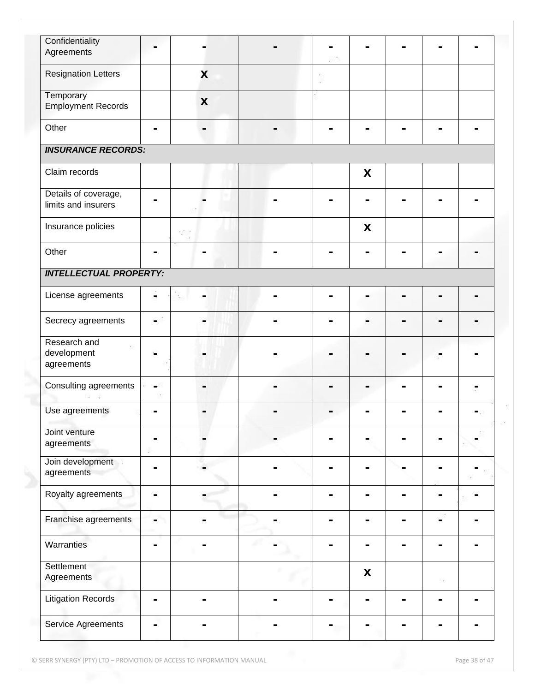| Confidentiality                             |                |     |   |   |   |     |  |
|---------------------------------------------|----------------|-----|---|---|---|-----|--|
| Agreements                                  | $\blacksquare$ |     |   |   |   |     |  |
| <b>Resignation Letters</b>                  |                | X   |   |   |   |     |  |
| Temporary                                   |                |     |   |   |   |     |  |
| <b>Employment Records</b>                   |                | X   |   |   |   |     |  |
| Other                                       | $\blacksquare$ |     |   |   |   |     |  |
| <b>INSURANCE RECORDS:</b>                   |                |     |   |   |   |     |  |
| Claim records                               |                |     |   | X |   |     |  |
| Details of coverage,<br>limits and insurers | ۰              |     |   |   |   |     |  |
| Insurance policies                          |                | 385 |   | X |   |     |  |
| Other                                       | $\blacksquare$ |     |   |   |   |     |  |
| <b>INTELLECTUAL PROPERTY:</b>               |                |     |   |   |   |     |  |
| License agreements                          | $\blacksquare$ |     | - |   | - | -   |  |
| Secrecy agreements                          | ۰              |     |   |   |   |     |  |
| Research and<br>development<br>agreements   |                |     |   |   |   |     |  |
| Consulting agreements                       | Ξ.             |     |   |   |   |     |  |
| Use agreements                              | -              |     |   |   |   |     |  |
| Joint venture<br>agreements                 |                |     |   |   |   |     |  |
| Join development<br>agreements              |                |     |   |   |   |     |  |
| Royalty agreements                          | -              |     |   |   |   |     |  |
| Franchise agreements                        |                |     |   |   |   |     |  |
| Warranties                                  | $\blacksquare$ |     |   |   |   |     |  |
| Settlement<br>Agreements                    |                |     |   | X |   | -53 |  |
| <b>Litigation Records</b>                   | $\blacksquare$ |     |   |   |   |     |  |
| Service Agreements                          | ۰              |     |   |   |   |     |  |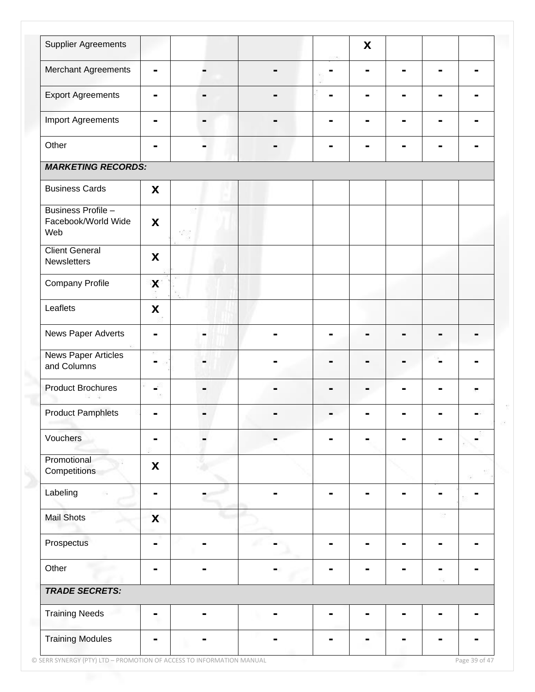| <b>Supplier Agreements</b>                       |                |    |   | X |   |   |  |
|--------------------------------------------------|----------------|----|---|---|---|---|--|
| Merchant Agreements                              | $\blacksquare$ |    |   |   | ۰ |   |  |
| <b>Export Agreements</b>                         | $\blacksquare$ |    | - |   | - |   |  |
| <b>Import Agreements</b>                         | $\blacksquare$ |    |   |   |   |   |  |
| Other                                            |                |    |   |   |   |   |  |
| <b>MARKETING RECORDS:</b>                        |                |    |   |   |   |   |  |
| <b>Business Cards</b>                            | X              |    |   |   |   |   |  |
| Business Profile -<br>Facebook/World Wide<br>Web | X              | 32 |   |   |   |   |  |
| <b>Client General</b><br>Newsletters             | X              |    |   |   |   |   |  |
| <b>Company Profile</b>                           | X              |    |   |   |   |   |  |
| Leaflets                                         | X              |    |   |   |   |   |  |
| News Paper Adverts                               |                |    |   |   |   |   |  |
| <b>News Paper Articles</b><br>and Columns        |                |    |   |   |   |   |  |
| <b>Product Brochures</b>                         | $\blacksquare$ |    | - |   |   |   |  |
| <b>Product Pamphlets</b>                         |                |    |   |   |   |   |  |
| Vouchers                                         |                |    |   |   |   |   |  |
| Promotional<br>Competitions                      | X              |    |   |   |   |   |  |
| Labeling                                         | $\blacksquare$ |    |   |   |   |   |  |
| <b>Mail Shots</b>                                | X              |    |   |   |   | 级 |  |
| Prospectus                                       |                |    |   |   |   |   |  |
| Other                                            |                |    |   |   |   |   |  |
| <b>TRADE SECRETS:</b>                            |                |    |   |   |   |   |  |
| <b>Training Needs</b>                            | $\blacksquare$ |    | ۰ |   |   |   |  |
| <b>Training Modules</b>                          | Ξ.             |    |   |   |   |   |  |

© SERR SYNERGY (PTY) LTD – PROMOTION OF ACCESS TO INFORMATION MANUAL Page 39 of 47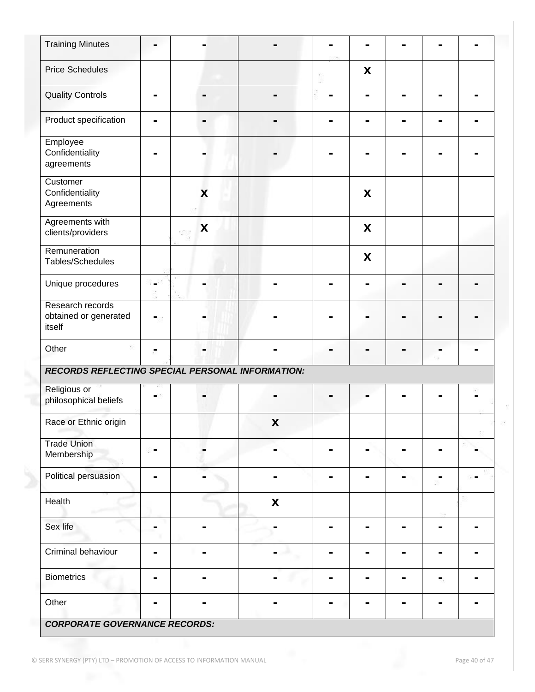| <b>Training Minutes</b>                                 |                |                |                    |   |  |  |
|---------------------------------------------------------|----------------|----------------|--------------------|---|--|--|
| <b>Price Schedules</b>                                  |                |                |                    | X |  |  |
| <b>Quality Controls</b>                                 | -              |                |                    |   |  |  |
| Product specification                                   |                |                |                    |   |  |  |
| Employee<br>Confidentiality<br>agreements               |                |                |                    |   |  |  |
| Customer<br>Confidentiality<br>Agreements               |                | X              |                    | X |  |  |
| Agreements with<br>clients/providers                    |                | X              |                    | X |  |  |
| Remuneration<br>Tables/Schedules                        |                |                |                    | X |  |  |
| Unique procedures                                       |                |                |                    |   |  |  |
| Research records<br>obtained or generated<br>itself     |                |                |                    |   |  |  |
| Other                                                   |                |                |                    |   |  |  |
| <b>RECORDS REFLECTING SPECIAL PERSONAL INFORMATION:</b> |                |                |                    |   |  |  |
| Religious or<br>philosophical beliefs                   |                |                |                    |   |  |  |
| Race or Ethnic origin                                   |                |                | $\pmb{\mathsf{X}}$ |   |  |  |
| <b>Trade Union</b><br>Membership                        |                |                |                    |   |  |  |
| Political persuasion                                    |                |                |                    |   |  |  |
| Health                                                  |                |                | $\pmb{\mathsf{X}}$ |   |  |  |
| Sex life                                                |                |                |                    |   |  |  |
| Criminal behaviour                                      |                | $\blacksquare$ |                    |   |  |  |
| <b>Biometrics</b>                                       | $\blacksquare$ |                |                    |   |  |  |
| Other                                                   |                |                |                    |   |  |  |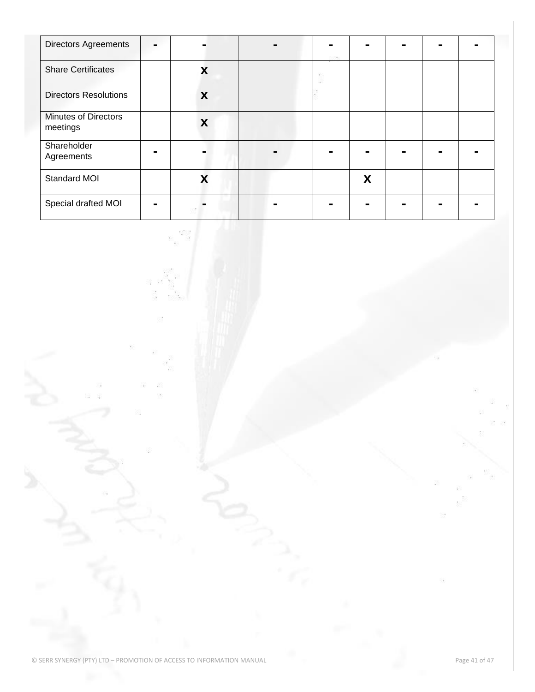| <b>Directors Agreements</b>             | - |   |  |   |  |  |
|-----------------------------------------|---|---|--|---|--|--|
| <b>Share Certificates</b>               |   | X |  |   |  |  |
| <b>Directors Resolutions</b>            |   | X |  |   |  |  |
| <b>Minutes of Directors</b><br>meetings |   | X |  |   |  |  |
| Shareholder<br>Agreements               |   |   |  |   |  |  |
| Standard MOI                            |   | X |  | X |  |  |
| Special drafted MOI                     |   |   |  |   |  |  |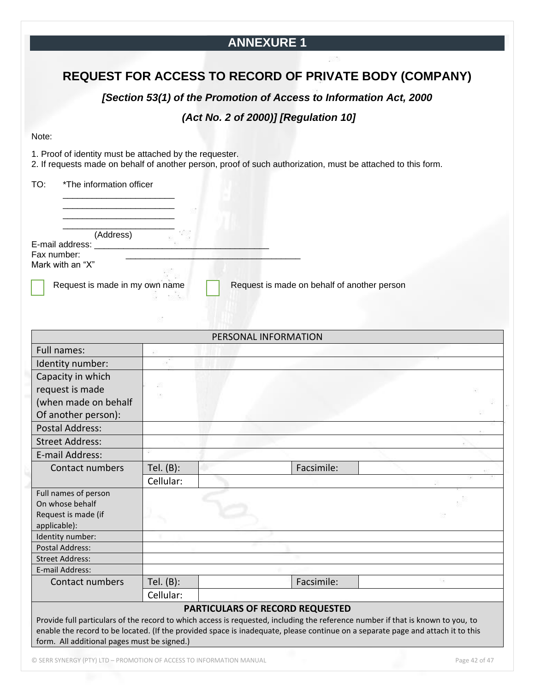## **ANNEXURE 1**

## **REQUEST FOR ACCESS TO RECORD OF PRIVATE BODY (COMPANY)**

*[Section 53(1) of the Promotion of Access to Information Act, 2000*

## *(Act No. 2 of 2000)] [Regulation 10]*

#### Note:

1. Proof of identity must be attached by the requester.

2. If requests made on behalf of another person, proof of such authorization, must be attached to this form.

TO: \*The information officer

\_\_\_\_\_\_\_\_\_\_\_\_\_\_\_\_\_\_\_\_\_\_\_ \_\_\_\_\_\_\_\_\_\_\_\_\_\_\_\_\_\_\_\_\_\_\_

(Address)

E-mail address: Fax number:

Mark with an "X"

Request is made in my own name  $R$  Request is made on behalf of another person

|                                                                                                                                 |              | PERSONAL INFORMATION            |            |  |
|---------------------------------------------------------------------------------------------------------------------------------|--------------|---------------------------------|------------|--|
| Full names:                                                                                                                     |              |                                 |            |  |
| Identity number:                                                                                                                |              |                                 |            |  |
| Capacity in which                                                                                                               |              |                                 |            |  |
| request is made                                                                                                                 | ġ8           |                                 |            |  |
| (when made on behalf                                                                                                            |              |                                 |            |  |
| Of another person):                                                                                                             |              |                                 |            |  |
| <b>Postal Address:</b>                                                                                                          |              |                                 |            |  |
| <b>Street Address:</b>                                                                                                          |              |                                 |            |  |
| E-mail Address:                                                                                                                 |              |                                 |            |  |
| Contact numbers                                                                                                                 | Tel. (B):    |                                 | Facsimile: |  |
|                                                                                                                                 | Cellular:    |                                 |            |  |
| Full names of person                                                                                                            |              |                                 |            |  |
| On whose behalf                                                                                                                 |              |                                 |            |  |
| Request is made (if                                                                                                             |              |                                 |            |  |
| applicable):                                                                                                                    |              |                                 |            |  |
| Identity number:                                                                                                                |              |                                 |            |  |
| Postal Address:                                                                                                                 |              |                                 |            |  |
| <b>Street Address:</b>                                                                                                          |              |                                 |            |  |
| E-mail Address:                                                                                                                 |              |                                 |            |  |
| Contact numbers                                                                                                                 | Tel. $(B)$ : |                                 | Facsimile: |  |
|                                                                                                                                 | Cellular:    |                                 |            |  |
|                                                                                                                                 |              | PARTICULARS OF RECORD REQUESTED |            |  |
| Provide full particulars of the record to which access is requested, including the reference number if that is known to you, to |              |                                 |            |  |
| enable the record to be located. (If the provided space is inadequate, please continue on a separate page and attach it to this |              |                                 |            |  |
| form. All additional pages must be signed.)                                                                                     |              |                                 |            |  |
|                                                                                                                                 |              |                                 |            |  |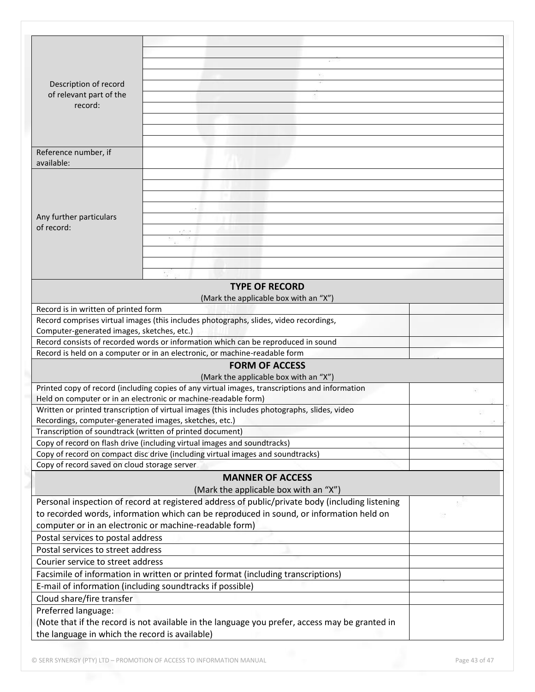| Description of record                                     |                                                                                                 |  |
|-----------------------------------------------------------|-------------------------------------------------------------------------------------------------|--|
| of relevant part of the                                   |                                                                                                 |  |
| record:                                                   |                                                                                                 |  |
|                                                           |                                                                                                 |  |
|                                                           |                                                                                                 |  |
|                                                           |                                                                                                 |  |
| Reference number, if                                      |                                                                                                 |  |
| available:                                                |                                                                                                 |  |
|                                                           |                                                                                                 |  |
|                                                           |                                                                                                 |  |
|                                                           |                                                                                                 |  |
|                                                           |                                                                                                 |  |
| Any further particulars                                   |                                                                                                 |  |
| of record:                                                |                                                                                                 |  |
|                                                           |                                                                                                 |  |
|                                                           |                                                                                                 |  |
|                                                           |                                                                                                 |  |
|                                                           |                                                                                                 |  |
|                                                           | <b>TYPE OF RECORD</b>                                                                           |  |
|                                                           | (Mark the applicable box with an "X")                                                           |  |
| Record is in written of printed form                      |                                                                                                 |  |
|                                                           | Record comprises virtual images (this includes photographs, slides, video recordings,           |  |
| Computer-generated images, sketches, etc.)                |                                                                                                 |  |
|                                                           | Record consists of recorded words or information which can be reproduced in sound               |  |
|                                                           | Record is held on a computer or in an electronic, or machine-readable form                      |  |
|                                                           | <b>FORM OF ACCESS</b>                                                                           |  |
|                                                           | (Mark the applicable box with an "X")                                                           |  |
|                                                           | Printed copy of record (including copies of any virtual images, transcriptions and information  |  |
|                                                           | Held on computer or in an electronic or machine-readable form)                                  |  |
|                                                           | Written or printed transcription of virtual images (this includes photographs, slides, video    |  |
| Recordings, computer-generated images, sketches, etc.)    |                                                                                                 |  |
| Transcription of soundtrack (written of printed document) |                                                                                                 |  |
|                                                           | Copy of record on flash drive (including virtual images and soundtracks)                        |  |
|                                                           | Copy of record on compact disc drive (including virtual images and soundtracks)                 |  |
| Copy of record saved on cloud storage server              |                                                                                                 |  |
|                                                           | <b>MANNER OF ACCESS</b>                                                                         |  |
|                                                           | (Mark the applicable box with an "X")                                                           |  |
|                                                           | Personal inspection of record at registered address of public/private body (including listening |  |
|                                                           | to recorded words, information which can be reproduced in sound, or information held on         |  |
|                                                           | computer or in an electronic or machine-readable form)                                          |  |
| Postal services to postal address                         |                                                                                                 |  |
| Postal services to street address                         |                                                                                                 |  |
| Courier service to street address                         |                                                                                                 |  |
|                                                           | Facsimile of information in written or printed format (including transcriptions)                |  |
|                                                           | E-mail of information (including soundtracks if possible)                                       |  |
| Cloud share/fire transfer                                 |                                                                                                 |  |
| Preferred language:                                       |                                                                                                 |  |
|                                                           | (Note that if the record is not available in the language you prefer, access may be granted in  |  |
| the language in which the record is available)            |                                                                                                 |  |
|                                                           |                                                                                                 |  |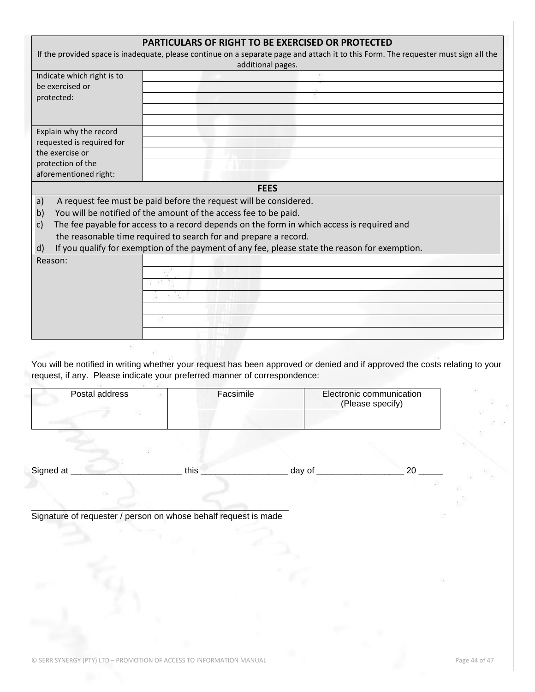| If the provided space is inadequate, please continue on a separate page and attach it to this Form. The requester must sign all the<br>Indicate which right is to<br>be exercised or<br>protected:<br>Explain why the record | additional pages. |        |                                              |  |
|------------------------------------------------------------------------------------------------------------------------------------------------------------------------------------------------------------------------------|-------------------|--------|----------------------------------------------|--|
|                                                                                                                                                                                                                              |                   |        |                                              |  |
|                                                                                                                                                                                                                              |                   |        |                                              |  |
|                                                                                                                                                                                                                              |                   |        |                                              |  |
|                                                                                                                                                                                                                              |                   |        |                                              |  |
|                                                                                                                                                                                                                              |                   |        |                                              |  |
|                                                                                                                                                                                                                              |                   |        |                                              |  |
| requested is required for                                                                                                                                                                                                    |                   |        |                                              |  |
| the exercise or                                                                                                                                                                                                              |                   |        |                                              |  |
| protection of the<br>aforementioned right:                                                                                                                                                                                   |                   |        |                                              |  |
|                                                                                                                                                                                                                              |                   |        |                                              |  |
|                                                                                                                                                                                                                              | <b>FEES</b>       |        |                                              |  |
| A request fee must be paid before the request will be considered.<br>a)<br>You will be notified of the amount of the access fee to be paid.<br>b)                                                                            |                   |        |                                              |  |
| The fee payable for access to a record depends on the form in which access is required and<br>$\mathsf{C}$                                                                                                                   |                   |        |                                              |  |
| the reasonable time required to search for and prepare a record.                                                                                                                                                             |                   |        |                                              |  |
| If you qualify for exemption of the payment of any fee, please state the reason for exemption.<br>d)                                                                                                                         |                   |        |                                              |  |
| Reason:                                                                                                                                                                                                                      |                   |        |                                              |  |
|                                                                                                                                                                                                                              |                   |        |                                              |  |
|                                                                                                                                                                                                                              |                   |        |                                              |  |
|                                                                                                                                                                                                                              |                   |        |                                              |  |
|                                                                                                                                                                                                                              |                   |        |                                              |  |
|                                                                                                                                                                                                                              |                   |        |                                              |  |
|                                                                                                                                                                                                                              |                   |        |                                              |  |
| You will be notified in writing whether your request has been approved or denied and if approved the costs relating to your<br>request, if any. Please indicate your preferred manner of correspondence:<br>Postal address   | Facsimile         |        | Electronic communication<br>(Please specify) |  |
|                                                                                                                                                                                                                              |                   |        |                                              |  |
|                                                                                                                                                                                                                              |                   |        |                                              |  |
|                                                                                                                                                                                                                              |                   |        |                                              |  |
|                                                                                                                                                                                                                              |                   |        |                                              |  |
|                                                                                                                                                                                                                              |                   |        |                                              |  |
|                                                                                                                                                                                                                              | this              |        | 20                                           |  |
|                                                                                                                                                                                                                              |                   | day of |                                              |  |
| Signed at                                                                                                                                                                                                                    |                   |        |                                              |  |
| Signature of requester / person on whose behalf request is made                                                                                                                                                              |                   |        |                                              |  |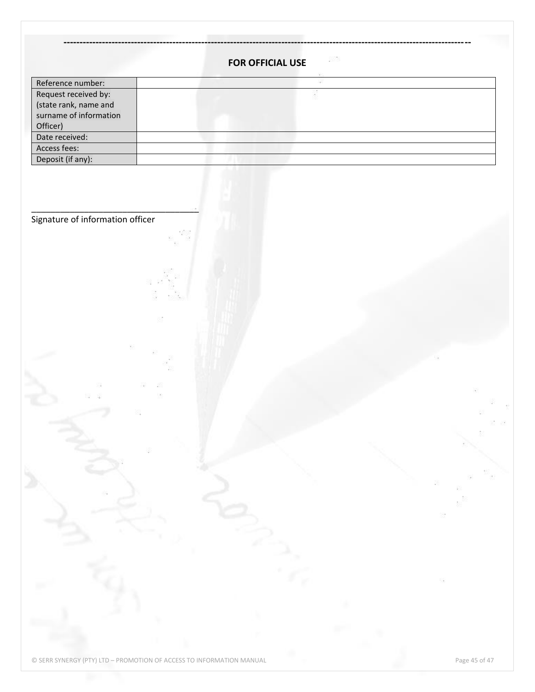|                                  | 5376<br><b>FOR OFFICIAL USE</b> |   |
|----------------------------------|---------------------------------|---|
| Reference number:                |                                 |   |
| Request received by:             |                                 |   |
| (state rank, name and            |                                 |   |
| surname of information           |                                 |   |
| Officer)                         |                                 |   |
| Date received:<br>Access fees:   |                                 |   |
| Deposit (if any):                |                                 |   |
|                                  |                                 |   |
|                                  |                                 |   |
|                                  |                                 |   |
| Signature of information officer |                                 |   |
|                                  |                                 |   |
|                                  |                                 |   |
|                                  |                                 |   |
|                                  |                                 |   |
|                                  |                                 |   |
|                                  |                                 |   |
|                                  |                                 |   |
|                                  |                                 |   |
|                                  |                                 |   |
|                                  |                                 |   |
|                                  |                                 |   |
|                                  |                                 |   |
|                                  |                                 |   |
|                                  |                                 |   |
|                                  |                                 |   |
|                                  |                                 |   |
|                                  |                                 |   |
|                                  |                                 |   |
|                                  |                                 |   |
|                                  |                                 |   |
|                                  |                                 |   |
|                                  |                                 |   |
|                                  |                                 |   |
|                                  |                                 |   |
|                                  |                                 |   |
|                                  |                                 |   |
|                                  |                                 |   |
|                                  |                                 |   |
|                                  |                                 | 掇 |
|                                  |                                 |   |
|                                  |                                 |   |
|                                  |                                 |   |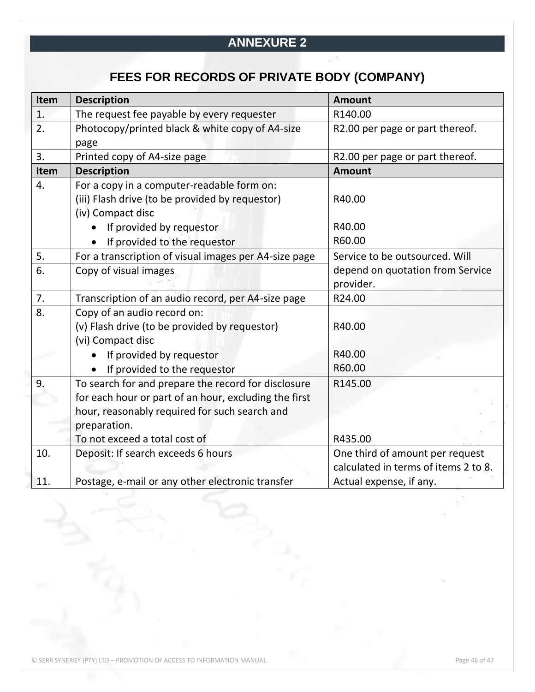## **ANNEXURE 2**

# **FEES FOR RECORDS OF PRIVATE BODY (COMPANY)**

| Item             | <b>Description</b>                                    | <b>Amount</b>                        |
|------------------|-------------------------------------------------------|--------------------------------------|
| 1.               | The request fee payable by every requester            | R140.00                              |
| 2.               | Photocopy/printed black & white copy of A4-size       | R2.00 per page or part thereof.      |
|                  | page                                                  |                                      |
| 3.               | Printed copy of A4-size page                          | R2.00 per page or part thereof.      |
| Item             | <b>Description</b>                                    | <b>Amount</b>                        |
| $\overline{4}$ . | For a copy in a computer-readable form on:            |                                      |
|                  | (iii) Flash drive (to be provided by requestor)       | R40.00                               |
|                  | (iv) Compact disc                                     |                                      |
|                  | If provided by requestor                              | R40.00                               |
|                  | If provided to the requestor                          | R60.00                               |
| 5.               | For a transcription of visual images per A4-size page | Service to be outsourced. Will       |
| 6.               | Copy of visual images                                 | depend on quotation from Service     |
|                  |                                                       | provider.                            |
| 7.               | Transcription of an audio record, per A4-size page    | R24.00                               |
| 8.               | Copy of an audio record on:                           |                                      |
|                  | (v) Flash drive (to be provided by requestor)         | R40.00                               |
|                  | (vi) Compact disc                                     |                                      |
|                  | If provided by requestor                              | R40.00                               |
|                  | If provided to the requestor                          | R60.00                               |
| 9.               | To search for and prepare the record for disclosure   | R145.00                              |
|                  | for each hour or part of an hour, excluding the first |                                      |
|                  | hour, reasonably required for such search and         |                                      |
|                  | preparation.                                          |                                      |
|                  | To not exceed a total cost of                         | R435.00                              |
| 10.              | Deposit: If search exceeds 6 hours                    | One third of amount per request      |
|                  |                                                       | calculated in terms of items 2 to 8. |
| 11.              | Postage, e-mail or any other electronic transfer      | Actual expense, if any.              |